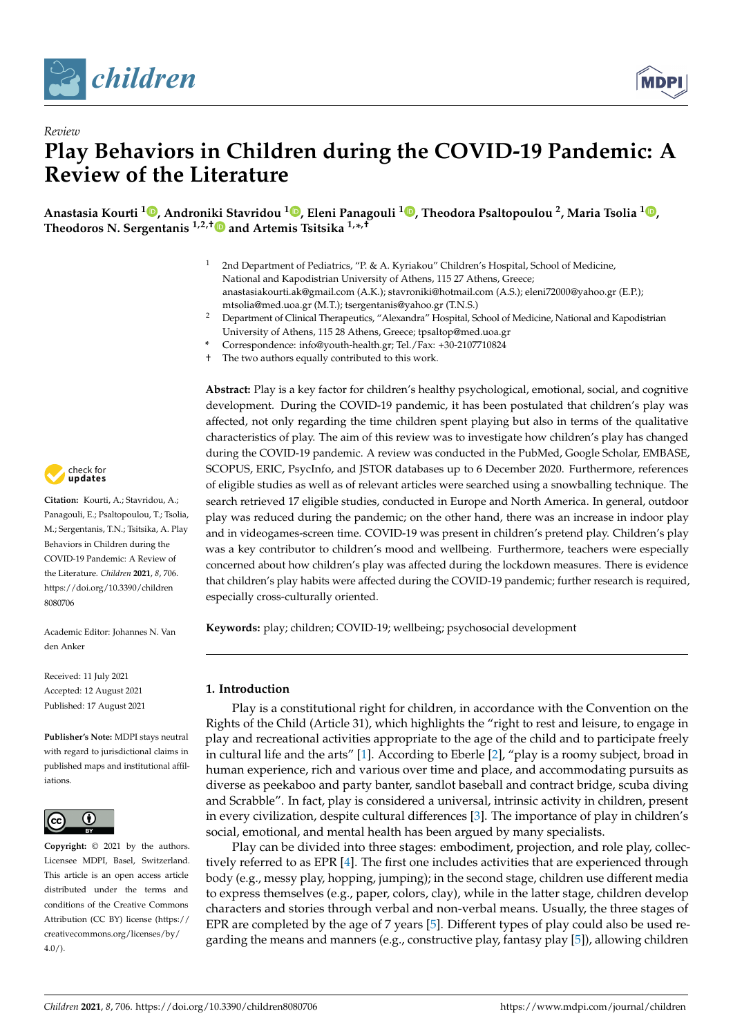



# *Review* **Play Behaviors in Children during the COVID-19 Pandemic: A Review of the Literature**

**Anastasia Kourti <sup>1</sup> [,](https://orcid.org/0000-0002-1677-222X) Androniki Stavridou [1](https://orcid.org/0000-0003-1360-5220) , Eleni Panagouli [1](https://orcid.org/0000-0002-8764-1059) , Theodora Psaltopoulou <sup>2</sup> , Maria Tsolia <sup>1</sup> [,](https://orcid.org/0000-0003-2485-4409) Theodoros N. Sergentanis 1,2,[†](https://orcid.org/0000-0002-9355-5528) and Artemis Tsitsika 1,\* ,†**

- <sup>1</sup> 2nd Department of Pediatrics, "P. & A. Kyriakou" Children's Hospital, School of Medicine, National and Kapodistrian University of Athens, 115 27 Athens, Greece; anastasiakourti.ak@gmail.com (A.K.); stavroniki@hotmail.com (A.S.); eleni72000@yahoo.gr (E.P.); mtsolia@med.uoa.gr (M.T.); tsergentanis@yahoo.gr (T.N.S.)
- <sup>2</sup> Department of Clinical Therapeutics, "Alexandra" Hospital, School of Medicine, National and Kapodistrian University of Athens, 115 28 Athens, Greece; tpsaltop@med.uoa.gr
- **\*** Correspondence: info@youth-health.gr; Tel./Fax: +30-2107710824
- The two authors equally contributed to this work.

**Abstract:** Play is a key factor for children's healthy psychological, emotional, social, and cognitive development. During the COVID-19 pandemic, it has been postulated that children's play was affected, not only regarding the time children spent playing but also in terms of the qualitative characteristics of play. The aim of this review was to investigate how children's play has changed during the COVID-19 pandemic. A review was conducted in the PubMed, Google Scholar, EMBASE, SCOPUS, ERIC, PsycInfo, and JSTOR databases up to 6 December 2020. Furthermore, references of eligible studies as well as of relevant articles were searched using a snowballing technique. The search retrieved 17 eligible studies, conducted in Europe and North America. In general, outdoor play was reduced during the pandemic; on the other hand, there was an increase in indoor play and in videogames-screen time. COVID-19 was present in children's pretend play. Children's play was a key contributor to children's mood and wellbeing. Furthermore, teachers were especially concerned about how children's play was affected during the lockdown measures. There is evidence that children's play habits were affected during the COVID-19 pandemic; further research is required, especially cross-culturally oriented.

**Keywords:** play; children; COVID-19; wellbeing; psychosocial development

# **1. Introduction**

Play is a constitutional right for children, in accordance with the Convention on the Rights of the Child (Article 31), which highlights the "right to rest and leisure, to engage in play and recreational activities appropriate to the age of the child and to participate freely in cultural life and the arts" [\[1\]](#page-16-0). According to Eberle [\[2\]](#page-16-1), "play is a roomy subject, broad in human experience, rich and various over time and place, and accommodating pursuits as diverse as peekaboo and party banter, sandlot baseball and contract bridge, scuba diving and Scrabble". In fact, play is considered a universal, intrinsic activity in children, present in every civilization, despite cultural differences [\[3\]](#page-16-2). The importance of play in children's social, emotional, and mental health has been argued by many specialists.

Play can be divided into three stages: embodiment, projection, and role play, collectively referred to as EPR [\[4\]](#page-16-3). The first one includes activities that are experienced through body (e.g., messy play, hopping, jumping); in the second stage, children use different media to express themselves (e.g., paper, colors, clay), while in the latter stage, children develop characters and stories through verbal and non-verbal means. Usually, the three stages of EPR are completed by the age of 7 years [\[5\]](#page-16-4). Different types of play could also be used re-garding the means and manners (e.g., constructive play, fantasy play [\[5\]](#page-16-4)), allowing children



**Citation:** Kourti, A.; Stavridou, A.; Panagouli, E.; Psaltopoulou, T.; Tsolia, M.; Sergentanis, T.N.; Tsitsika, A. Play Behaviors in Children during the COVID-19 Pandemic: A Review of the Literature. *Children* **2021**, *8*, 706. [https://doi.org/10.3390/children](https://doi.org/10.3390/children8080706) [8080706](https://doi.org/10.3390/children8080706)

Academic Editor: Johannes N. Van den Anker

Received: 11 July 2021 Accepted: 12 August 2021 Published: 17 August 2021

**Publisher's Note:** MDPI stays neutral with regard to jurisdictional claims in published maps and institutional affiliations.



**Copyright:** © 2021 by the authors. Licensee MDPI, Basel, Switzerland. This article is an open access article distributed under the terms and conditions of the Creative Commons Attribution (CC BY) license (https:/[/](https://creativecommons.org/licenses/by/4.0/) [creativecommons.org/licenses/by/](https://creativecommons.org/licenses/by/4.0/)  $4.0/$ ).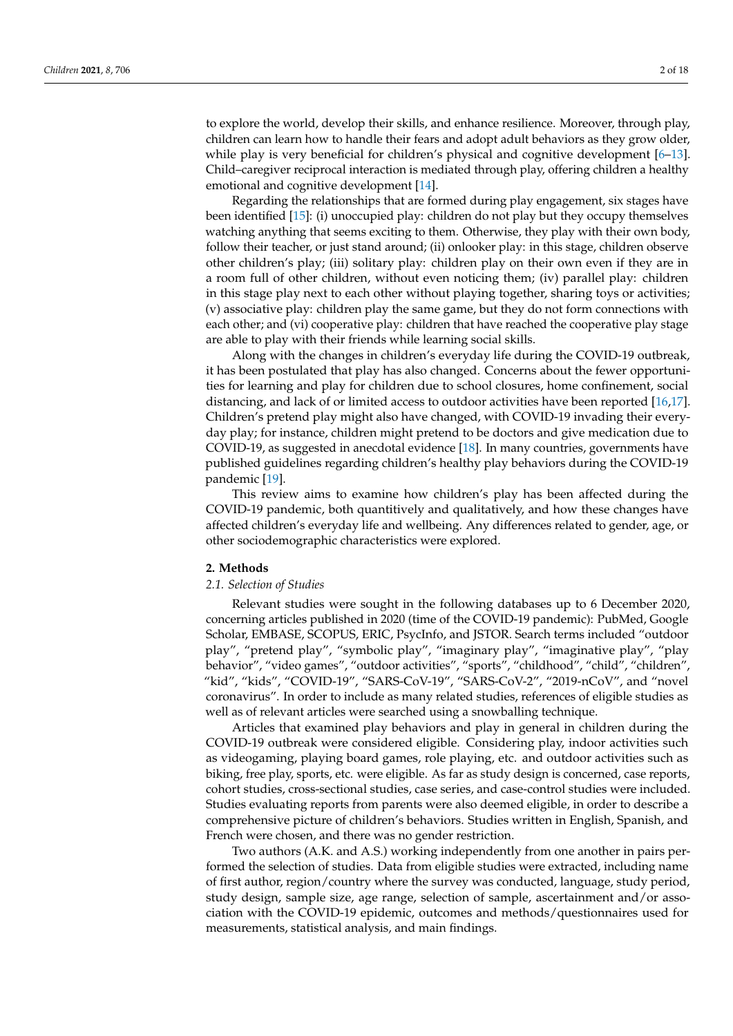to explore the world, develop their skills, and enhance resilience. Moreover, through play, children can learn how to handle their fears and adopt adult behaviors as they grow older, while play is very beneficial for children's physical and cognitive development [\[6](#page-16-5)-13]. Child–caregiver reciprocal interaction is mediated through play, offering children a healthy emotional and cognitive development [\[14\]](#page-16-7).

Regarding the relationships that are formed during play engagement, six stages have been identified [\[15\]](#page-16-8): (i) unoccupied play: children do not play but they occupy themselves watching anything that seems exciting to them. Otherwise, they play with their own body, follow their teacher, or just stand around; (ii) onlooker play: in this stage, children observe other children's play; (iii) solitary play: children play on their own even if they are in a room full of other children, without even noticing them; (iv) parallel play: children in this stage play next to each other without playing together, sharing toys or activities; (v) associative play: children play the same game, but they do not form connections with each other; and (vi) cooperative play: children that have reached the cooperative play stage are able to play with their friends while learning social skills.

Along with the changes in children's everyday life during the COVID-19 outbreak, it has been postulated that play has also changed. Concerns about the fewer opportunities for learning and play for children due to school closures, home confinement, social distancing, and lack of or limited access to outdoor activities have been reported [\[16,](#page-16-9)[17\]](#page-16-10). Children's pretend play might also have changed, with COVID-19 invading their everyday play; for instance, children might pretend to be doctors and give medication due to COVID-19, as suggested in anecdotal evidence [\[18\]](#page-16-11). In many countries, governments have published guidelines regarding children's healthy play behaviors during the COVID-19 pandemic [\[19\]](#page-16-12).

This review aims to examine how children's play has been affected during the COVID-19 pandemic, both quantitively and qualitatively, and how these changes have affected children's everyday life and wellbeing. Any differences related to gender, age, or other sociodemographic characteristics were explored.

#### **2. Methods**

#### *2.1. Selection of Studies*

Relevant studies were sought in the following databases up to 6 December 2020, concerning articles published in 2020 (time of the COVID-19 pandemic): PubMed, Google Scholar, EMBASE, SCOPUS, ERIC, PsycInfo, and JSTOR. Search terms included "outdoor play", "pretend play", "symbolic play", "imaginary play", "imaginative play", "play behavior", "video games", "outdoor activities", "sports", "childhood", "child", "children", "kid", "kids", "COVID-19", "SARS-CoV-19", "SARS-CoV-2", "2019-nCoV", and "novel coronavirus". In order to include as many related studies, references of eligible studies as well as of relevant articles were searched using a snowballing technique.

Articles that examined play behaviors and play in general in children during the COVID-19 outbreak were considered eligible. Considering play, indoor activities such as videogaming, playing board games, role playing, etc. and outdoor activities such as biking, free play, sports, etc. were eligible. As far as study design is concerned, case reports, cohort studies, cross-sectional studies, case series, and case-control studies were included. Studies evaluating reports from parents were also deemed eligible, in order to describe a comprehensive picture of children's behaviors. Studies written in English, Spanish, and French were chosen, and there was no gender restriction.

Two authors (A.K. and A.S.) working independently from one another in pairs performed the selection of studies. Data from eligible studies were extracted, including name of first author, region/country where the survey was conducted, language, study period, study design, sample size, age range, selection of sample, ascertainment and/or association with the COVID-19 epidemic, outcomes and methods/questionnaires used for measurements, statistical analysis, and main findings.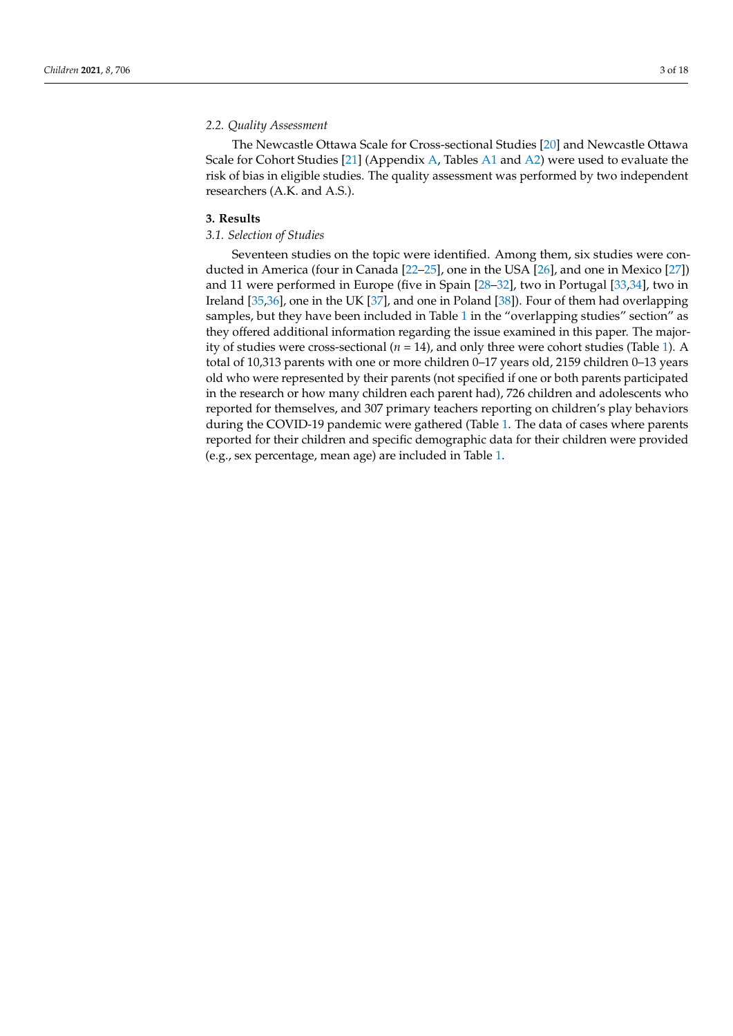#### *2.2. Quality Assessment*

The Newcastle Ottawa Scale for Cross-sectional Studies [\[20\]](#page-16-13) and Newcastle Ottawa Scale for Cohort Studies [\[21\]](#page-16-14) (Appendix [A,](#page-12-0) Tables [A1](#page-14-0) and [A2\)](#page-15-0) were used to evaluate the risk of bias in eligible studies. The quality assessment was performed by two independent researchers (A.K. and A.S.).

#### **3. Results**

## *3.1. Selection of Studies*

Seventeen studies on the topic were identified. Among them, six studies were conducted in America (four in Canada [\[22–](#page-16-15)[25\]](#page-16-16), one in the USA [\[26\]](#page-16-17), and one in Mexico [\[27\]](#page-16-18)) and 11 were performed in Europe (five in Spain [\[28–](#page-16-19)[32\]](#page-17-0), two in Portugal [\[33,](#page-17-1)[34\]](#page-17-2), two in Ireland [\[35](#page-17-3)[,36\]](#page-17-4), one in the UK [\[37\]](#page-17-5), and one in Poland [\[38\]](#page-17-6)). Four of them had overlapping samples, but they have been included in Table [1](#page-8-0) in the "overlapping studies" section" as they offered additional information regarding the issue examined in this paper. The majority of studies were cross-sectional (*n* = 14), and only three were cohort studies (Table [1\)](#page-8-0). A total of 10,313 parents with one or more children 0–17 years old, 2159 children 0–13 years old who were represented by their parents (not specified if one or both parents participated in the research or how many children each parent had), 726 children and adolescents who reported for themselves, and 307 primary teachers reporting on children's play behaviors during the COVID-19 pandemic were gathered (Table [1.](#page-8-0) The data of cases where parents reported for their children and specific demographic data for their children were provided (e.g., sex percentage, mean age) are included in Table [1.](#page-8-0)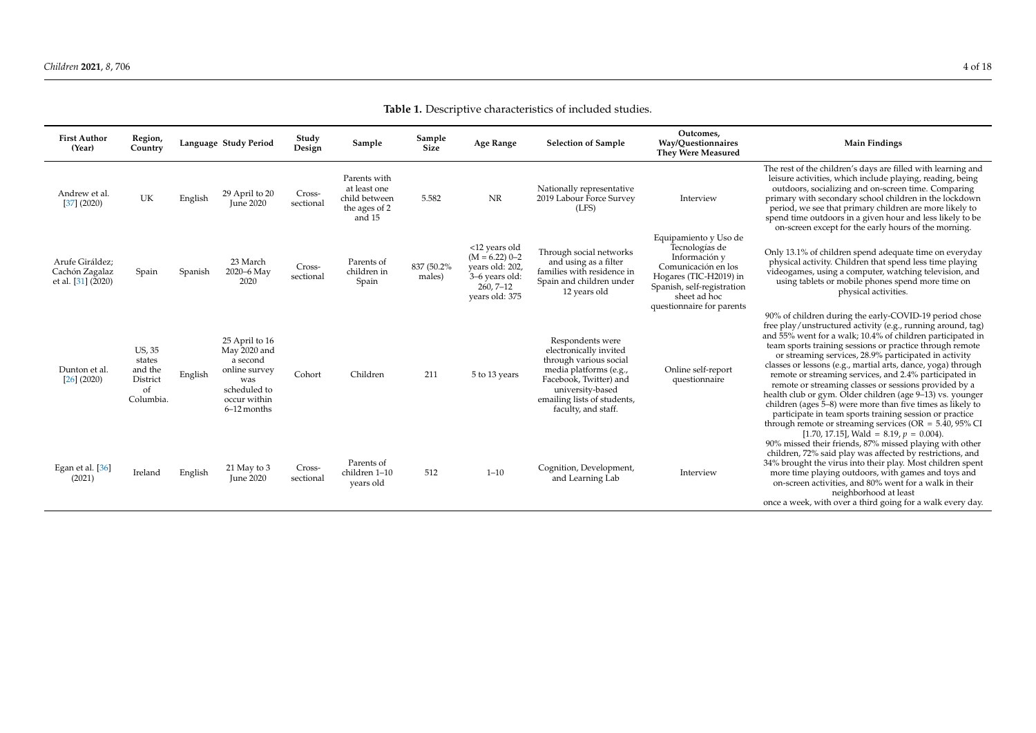# **Table 1.** Descriptive characteristics of included studies.

| <b>First Author</b><br>(Year)                           | Region,<br>Country                                         |         | Language Study Period                                                                                               | Study<br>Design     | Sample                                                                   | Sample<br>Size        | Age Range                                                                                                 | <b>Selection of Sample</b>                                                                                                                                                                         | Outcomes,<br>Way/Questionnaires<br><b>They Were Measured</b>                                                                                                                         | <b>Main Findings</b>                                                                                                                                                                                                                                                                                                                                                                                                                                                                                                                                                                                                                                                                                                                                |
|---------------------------------------------------------|------------------------------------------------------------|---------|---------------------------------------------------------------------------------------------------------------------|---------------------|--------------------------------------------------------------------------|-----------------------|-----------------------------------------------------------------------------------------------------------|----------------------------------------------------------------------------------------------------------------------------------------------------------------------------------------------------|--------------------------------------------------------------------------------------------------------------------------------------------------------------------------------------|-----------------------------------------------------------------------------------------------------------------------------------------------------------------------------------------------------------------------------------------------------------------------------------------------------------------------------------------------------------------------------------------------------------------------------------------------------------------------------------------------------------------------------------------------------------------------------------------------------------------------------------------------------------------------------------------------------------------------------------------------------|
| Andrew et al.<br>$[37]$ (2020)                          | UK                                                         | English | 29 April to 20<br><b>June 2020</b>                                                                                  | Cross-<br>sectional | Parents with<br>at least one<br>child between<br>the ages of 2<br>and 15 | 5.582                 | NR                                                                                                        | Nationally representative<br>2019 Labour Force Survey<br>(LFS)                                                                                                                                     | Interview                                                                                                                                                                            | The rest of the children's days are filled with learning and<br>leisure activities, which include playing, reading, being<br>outdoors, socializing and on-screen time. Comparing<br>primary with secondary school children in the lockdown<br>period, we see that primary children are more likely to<br>spend time outdoors in a given hour and less likely to be<br>on-screen except for the early hours of the morning.                                                                                                                                                                                                                                                                                                                          |
| Arufe Giráldez;<br>Cachón Zagalaz<br>et al. [31] (2020) | Spain                                                      | Spanish | 23 March<br>2020-6 May<br>2020                                                                                      | Cross-<br>sectional | Parents of<br>children in<br>Spain                                       | 837 (50.2%)<br>males) | <12 years old<br>$(M = 6.22)$ 0-2<br>years old: 202,<br>3-6 years old:<br>$260, 7 - 12$<br>years old: 375 | Through social networks<br>and using as a filter<br>families with residence in<br>Spain and children under<br>12 years old                                                                         | Equipamiento y Uso de<br>Tecnologías de<br>Información y<br>Comunicación en los<br>Hogares (TIC-H2019) in<br>Spanish, self-registration<br>sheet ad hoc<br>questionnaire for parents | Only 13.1% of children spend adequate time on everyday<br>physical activity. Children that spend less time playing<br>videogames, using a computer, watching television, and<br>using tablets or mobile phones spend more time on<br>physical activities.                                                                                                                                                                                                                                                                                                                                                                                                                                                                                           |
| Dunton et al<br>$[26]$ (2020)                           | US, 35<br>states<br>and the<br>District<br>of<br>Columbia. | English | 25 April to 16<br>May 2020 and<br>a second<br>online survey<br>was<br>scheduled to<br>occur within<br>$6-12$ months | Cohort              | Children                                                                 | 211                   | 5 to 13 years                                                                                             | Respondents were<br>electronically invited<br>through various social<br>media platforms (e.g.,<br>Facebook, Twitter) and<br>university-based<br>emailing lists of students,<br>faculty, and staff. | Online self-report<br>questionnaire                                                                                                                                                  | 90% of children during the early-COVID-19 period chose<br>free play/unstructured activity (e.g., running around, tag)<br>and 55% went for a walk; 10.4% of children participated in<br>team sports training sessions or practice through remote<br>or streaming services, 28.9% participated in activity<br>classes or lessons (e.g., martial arts, dance, yoga) through<br>remote or streaming services, and 2.4% participated in<br>remote or streaming classes or sessions provided by a<br>health club or gym. Older children (age 9–13) vs. younger<br>children (ages 5–8) were more than five times as likely to<br>participate in team sports training session or practice<br>through remote or streaming services ( $OR = 5.40$ , $95\%$ CI |
| Egan et al. [36]<br>(2021)                              | Ireland                                                    | English | 21 May to 3<br><b>June 2020</b>                                                                                     | Cross-<br>sectional | Parents of<br>children 1-10<br>years old                                 | 512                   | $1 - 10$                                                                                                  | Cognition, Development,<br>and Learning Lab                                                                                                                                                        | Interview                                                                                                                                                                            | [1.70, 17.15], Wald = 8.19, $p = 0.004$ ).<br>90% missed their friends, 87% missed playing with other<br>children, 72% said play was affected by restrictions, and<br>34% brought the virus into their play. Most children spent<br>more time playing outdoors, with games and toys and<br>on-screen activities, and 80% went for a walk in their<br>neighborhood at least<br>once a week, with over a third going for a walk every day.                                                                                                                                                                                                                                                                                                            |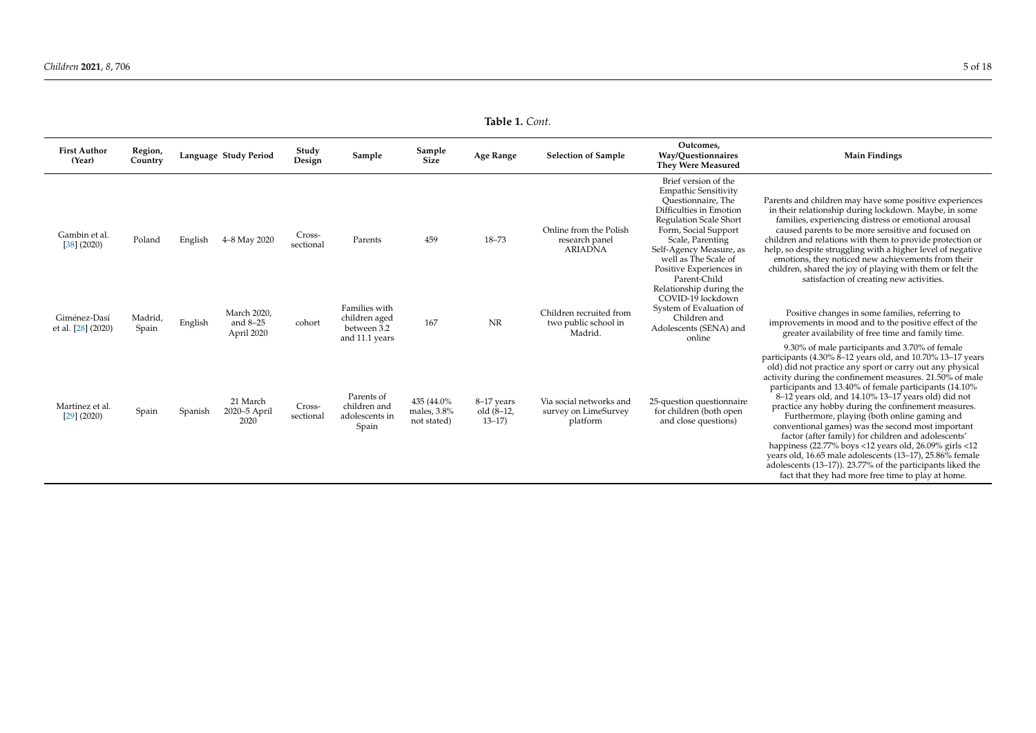| <b>First Author</b><br>(Year)      | Region,<br>Country |         | Language Study Period                   | Study<br>Design     | Sample                                                          | Sample<br>Size                            | Age Range                              | <b>Selection of Sample</b>                                  | Outcomes.<br>Way/Questionnaires<br><b>They Were Measured</b>                                                                                                                                                                                                                    | <b>Main Findings</b>                                                                                                                                                                                                                                                                                                                                                                                                                                                                                                                                                                                                                                                                                                                                                                                                 |
|------------------------------------|--------------------|---------|-----------------------------------------|---------------------|-----------------------------------------------------------------|-------------------------------------------|----------------------------------------|-------------------------------------------------------------|---------------------------------------------------------------------------------------------------------------------------------------------------------------------------------------------------------------------------------------------------------------------------------|----------------------------------------------------------------------------------------------------------------------------------------------------------------------------------------------------------------------------------------------------------------------------------------------------------------------------------------------------------------------------------------------------------------------------------------------------------------------------------------------------------------------------------------------------------------------------------------------------------------------------------------------------------------------------------------------------------------------------------------------------------------------------------------------------------------------|
| Gambin et al.<br>$[38]$ (2020)     | Poland             | English | 4–8 May 2020                            | Cross-<br>sectional | Parents                                                         | 459                                       | $18 - 73$                              | Online from the Polish<br>research panel<br><b>ARIADNA</b>  | Brief version of the<br><b>Empathic Sensitivity</b><br>Questionnaire, The<br>Difficulties in Emotion<br><b>Regulation Scale Short</b><br>Form, Social Support<br>Scale, Parenting<br>Self-Agency Measure, as<br>well as The Scale of<br>Positive Experiences in<br>Parent-Child | Parents and children may have some positive experiences<br>in their relationship during lockdown. Maybe, in some<br>families, experiencing distress or emotional arousal<br>caused parents to be more sensitive and focused on<br>children and relations with them to provide protection or<br>help, so despite struggling with a higher level of negative<br>emotions, they noticed new achievements from their<br>children, shared the joy of playing with them or felt the<br>satisfaction of creating new activities.                                                                                                                                                                                                                                                                                            |
| Giménez-Dasí<br>et al. [28] (2020) | Madrid,<br>Spain   | English | March 2020,<br>and $8-25$<br>April 2020 | cohort              | Families with<br>children aged<br>between 3.2<br>and 11.1 years | 167                                       | NR                                     | Children recruited from<br>two public school in<br>Madrid   | Relationship during the<br>COVID-19 lockdown<br>System of Evaluation of<br>Children and<br>Adolescents (SENA) and<br>online                                                                                                                                                     | Positive changes in some families, referring to<br>improvements in mood and to the positive effect of the<br>greater availability of free time and family time.                                                                                                                                                                                                                                                                                                                                                                                                                                                                                                                                                                                                                                                      |
| Martinez et al.<br>$[29]$ (2020)   | Spain              | Spanish | 21 March<br>2020-5 April<br>2020        | Cross-<br>sectional | Parents of<br>children and<br>adolescents in<br>Spain           | 435 (44.0%)<br>males, 3.8%<br>not stated) | 8-17 years<br>$old(8-12)$<br>$13 - 17$ | Via social networks and<br>survey on LimeSurvey<br>platform | 25-question questionnaire<br>for children (both open<br>and close questions)                                                                                                                                                                                                    | 9.30% of male participants and 3.70% of female<br>participants (4.30% 8-12 years old, and 10.70% 13-17 years<br>old) did not practice any sport or carry out any physical<br>activity during the confinement measures. 21.50% of male<br>participants and 13.40% of female participants (14.10%)<br>8–12 years old, and 14.10% 13–17 years old) did not<br>practice any hobby during the confinement measures.<br>Furthermore, playing (both online gaming and<br>conventional games) was the second most important<br>factor (after family) for children and adolescents'<br>happiness (22.77% boys <12 years old, 26.09% girls <12<br>years old, 16.65 male adolescents (13-17), 25.86% female<br>adolescents (13–17)). 23.77% of the participants liked the<br>fact that they had more free time to play at home. |

**Table 1.** *Cont.*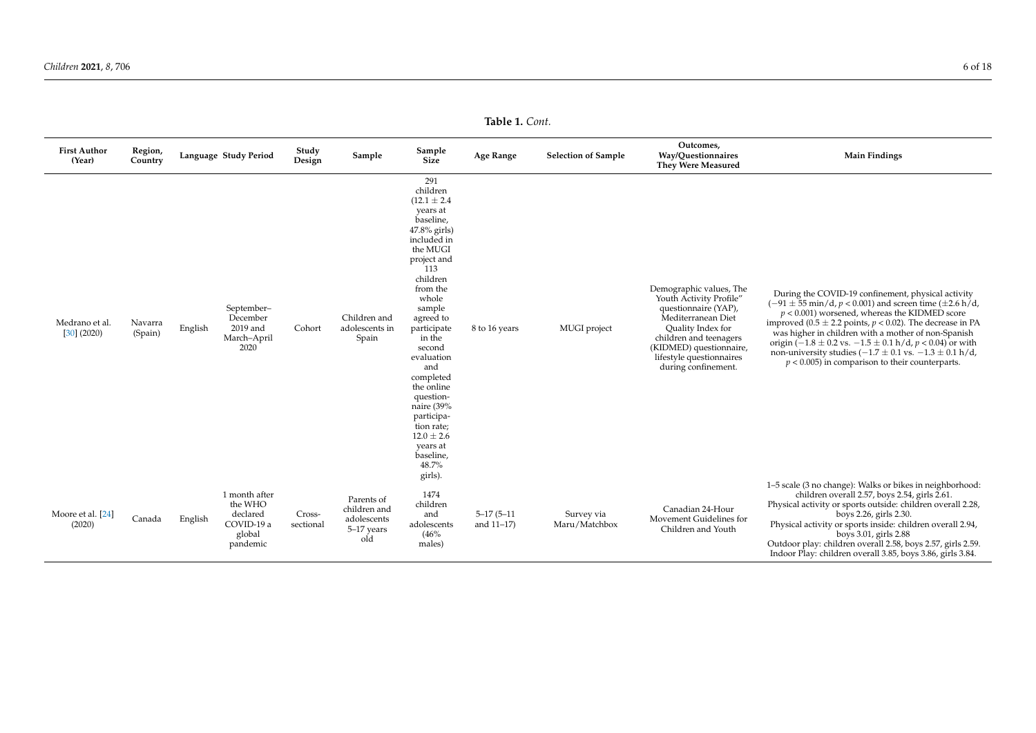**Table 1.** *Cont.*

| <b>First Author</b><br>(Year)   | Region,<br>Country |         | Language Study Period                                                    | Study<br>Design     | Sample                                                         | Sample<br>Size                                                                                                                                                                                                                                                                                                                                                                                 | Age Range                      | <b>Selection of Sample</b>  | Outcomes,<br>Way/Questionnaires<br><b>They Were Measured</b>                                                                                                                                                                  | <b>Main Findings</b>                                                                                                                                                                                                                                                                                                                                                                                                                                                                                                                             |
|---------------------------------|--------------------|---------|--------------------------------------------------------------------------|---------------------|----------------------------------------------------------------|------------------------------------------------------------------------------------------------------------------------------------------------------------------------------------------------------------------------------------------------------------------------------------------------------------------------------------------------------------------------------------------------|--------------------------------|-----------------------------|-------------------------------------------------------------------------------------------------------------------------------------------------------------------------------------------------------------------------------|--------------------------------------------------------------------------------------------------------------------------------------------------------------------------------------------------------------------------------------------------------------------------------------------------------------------------------------------------------------------------------------------------------------------------------------------------------------------------------------------------------------------------------------------------|
| Medrano et al.<br>$[30]$ (2020) | Navarra<br>(Spain) | English | September-<br>December<br>2019 and<br>March-April<br>2020                | Cohort              | Children and<br>adolescents in<br>Spain                        | 291<br>children<br>$(12.1 \pm 2.4)$<br>years at<br>baseline,<br>47.8% girls)<br>included in<br>the MUGI<br>project and<br>113<br>children<br>from the<br>whole<br>sample<br>agreed to<br>participate<br>in the<br>second<br>evaluation<br>and<br>completed<br>the online<br>question-<br>naire (39%<br>participa-<br>tion rate;<br>$12.0 \pm 2.6$<br>years at<br>baseline,<br>48.7%<br>girls). | 8 to 16 years                  | MUGI project                | Demographic values, The<br>Youth Activity Profile"<br>questionnaire (YAP),<br>Mediterranean Diet<br>Quality Index for<br>children and teenagers<br>(KIDMED) questionnaire,<br>lifestyle questionnaires<br>during confinement. | During the COVID-19 confinement, physical activity<br>$(-91 \pm 55 \text{ min/d}, p < 0.001)$ and screen time ( $\pm 2.6 \text{ h/d}$ ,<br>$p < 0.001$ ) worsened, whereas the KIDMED score<br>improved (0.5 $\pm$ 2.2 points, $p < 0.02$ ). The decrease in PA<br>was higher in children with a mother of non-Spanish<br>origin $(-1.8 \pm 0.2 \text{ vs. } -1.5 \pm 0.1 \text{ h/d}, p < 0.04)$ or with<br>non-university studies $(-1.7 \pm 0.1 \text{ vs. } -1.3 \pm 0.1 \text{ h/d})$<br>$p < 0.005$ ) in comparison to their counterparts. |
| Moore et al. [24]<br>(2020)     | Canada             | English | 1 month after<br>the WHO<br>declared<br>COVID-19 a<br>global<br>pandemic | Cross-<br>sectional | Parents of<br>children and<br>adolescents<br>5-17 years<br>old | 1474<br>children<br>and<br>adolescents<br>(46%<br>males)                                                                                                                                                                                                                                                                                                                                       | $5 - 17(5 - 11)$<br>and 11-17) | Survey via<br>Maru/Matchbox | Canadian 24-Hour<br>Movement Guidelines for<br>Children and Youth                                                                                                                                                             | 1–5 scale (3 no change): Walks or bikes in neighborhood:<br>children overall 2.57, boys 2.54, girls 2.61.<br>Physical activity or sports outside: children overall 2.28,<br>boys 2.26, girls 2.30.<br>Physical activity or sports inside: children overall 2.94,<br>boys 3.01, girls 2.88<br>Outdoor play: children overall 2.58, boys 2.57, girls 2.59.<br>Indoor Play: children overall 3.85, boys 3.86, girls 3.84.                                                                                                                           |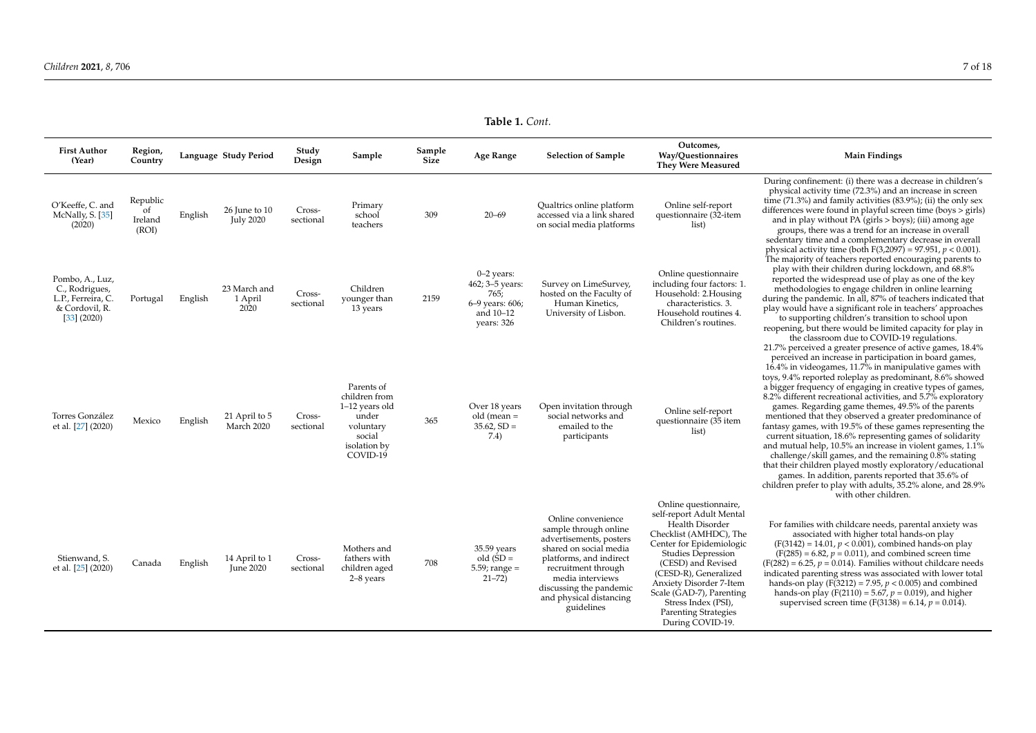|                                                                                          |                                    |         |                                     |                     |                                                                                                           |                       | 1401 L. CVIII.                                                                        |                                                                                                                                                                                                                                            |                                                                                                                                                                                                                                                                                                                                         |                                                                                                                                                                                                                                                                                                                                                                                                                                                                                                                                                                                                                                                                                                                                                                                                                                                                                                                                                  |
|------------------------------------------------------------------------------------------|------------------------------------|---------|-------------------------------------|---------------------|-----------------------------------------------------------------------------------------------------------|-----------------------|---------------------------------------------------------------------------------------|--------------------------------------------------------------------------------------------------------------------------------------------------------------------------------------------------------------------------------------------|-----------------------------------------------------------------------------------------------------------------------------------------------------------------------------------------------------------------------------------------------------------------------------------------------------------------------------------------|--------------------------------------------------------------------------------------------------------------------------------------------------------------------------------------------------------------------------------------------------------------------------------------------------------------------------------------------------------------------------------------------------------------------------------------------------------------------------------------------------------------------------------------------------------------------------------------------------------------------------------------------------------------------------------------------------------------------------------------------------------------------------------------------------------------------------------------------------------------------------------------------------------------------------------------------------|
| <b>First Author</b><br>(Year)                                                            | Region,<br>Country                 |         | Language Study Period               | Study<br>Design     | Sample                                                                                                    | Sample<br><b>Size</b> | <b>Age Range</b>                                                                      | <b>Selection of Sample</b>                                                                                                                                                                                                                 | Outcomes,<br>Way/Ouestionnaires<br><b>They Were Measured</b>                                                                                                                                                                                                                                                                            | <b>Main Findings</b>                                                                                                                                                                                                                                                                                                                                                                                                                                                                                                                                                                                                                                                                                                                                                                                                                                                                                                                             |
| O'Keeffe, C. and<br>McNally, S. [35]<br>(2020)                                           | Republic<br>of<br>Ireland<br>(ROI) | English | 26 June to $10$<br><b>July 2020</b> | Cross-<br>sectional | Primary<br>school<br>teachers                                                                             | 309                   | $20 - 69$                                                                             | Qualtrics online platform<br>accessed via a link shared<br>on social media platforms                                                                                                                                                       | Online self-report<br>questionnaire (32-item<br>list)                                                                                                                                                                                                                                                                                   | During confinement: (i) there was a decrease in children's<br>physical activity time (72.3%) and an increase in screen<br>time $(71.3\%)$ and family activities $(83.9\%)$ ; (ii) the only sex<br>differences were found in playful screen time (boys > girls)<br>and in play without PA (girls > boys); (iii) among age<br>groups, there was a trend for an increase in overall<br>sedentary time and a complementary decrease in overall<br>physical activity time (both $F(3,2097) = 97.951$ , $p < 0.001$ ).                                                                                                                                                                                                                                                                                                                                                                                                                                 |
| Pombo, A., Luz,<br>C., Rodrigues,<br>L.P., Ferreira, C.<br>& Cordovil, R.<br>[33] (2020) | Portugal                           | English | 23 March and<br>1 April<br>2020     | Cross-<br>sectional | Children<br>younger than<br>13 years                                                                      | 2159                  | $0-2$ years:<br>462; 3-5 years:<br>765;<br>6-9 years: 606;<br>and 10-12<br>years: 326 | Survey on LimeSurvey,<br>hosted on the Faculty of<br>Human Kinetics,<br>University of Lisbon.                                                                                                                                              | Online questionnaire<br>including four factors: 1.<br>Household: 2. Housing<br>characteristics. 3.<br>Household routines 4.<br>Children's routines.                                                                                                                                                                                     | The majority of teachers reported encouraging parents to<br>play with their children during lockdown, and 68.8%<br>reported the widespread use of play as one of the key<br>methodologies to engage children in online learning<br>during the pandemic. In all, 87% of teachers indicated that<br>play would have a significant role in teachers' approaches<br>to supporting children's transition to school upon<br>reopening, but there would be limited capacity for play in<br>the classroom due to COVID-19 regulations.                                                                                                                                                                                                                                                                                                                                                                                                                   |
| Torres González<br>et al. [27] (2020)                                                    | Mexico                             | English | 21 April to 5<br>March 2020         | Cross-<br>sectional | Parents of<br>children from<br>1-12 years old<br>under<br>voluntary<br>social<br>isolation by<br>COVID-19 | 365                   | Over 18 years<br>old (mean $=$<br>$35.62, SD =$<br>7.4)                               | Open invitation through<br>social networks and<br>emailed to the<br>participants                                                                                                                                                           | Online self-report<br>questionnaire (35 item<br>list)                                                                                                                                                                                                                                                                                   | 21.7% perceived a greater presence of active games, 18.4%<br>perceived an increase in participation in board games,<br>16.4% in videogames, 11.7% in manipulative games with<br>toys, 9.4% reported roleplay as predominant, 8.6% showed<br>a bigger frequency of engaging in creative types of games,<br>8.2% different recreational activities, and 5.7% exploratory<br>games. Regarding game themes, 49.5% of the parents<br>mentioned that they observed a greater predominance of<br>fantasy games, with 19.5% of these games representing the<br>current situation, 18.6% representing games of solidarity<br>and mutual help, 10.5% an increase in violent games, 1.1%<br>challenge/skill games, and the remaining 0.8% stating<br>that their children played mostly exploratory/educational<br>games. In addition, parents reported that 35.6% of<br>children prefer to play with adults, 35.2% alone, and 28.9%<br>with other children. |
| Stienwand, S.<br>et al. [25] (2020)                                                      | Canada                             | English | 14 April to 1<br><b>June 2020</b>   | Cross-<br>sectional | Mothers and<br>fathers with<br>children aged<br>2-8 years                                                 | 708                   | 35.59 years<br>$old(SD =$<br>$5.59$ ; range =<br>$21 - 72)$                           | Online convenience<br>sample through online<br>advertisements, posters<br>shared on social media<br>platforms, and indirect<br>recruitment through<br>media interviews<br>discussing the pandemic<br>and physical distancing<br>guidelines | Online questionnaire,<br>self-report Adult Mental<br>Health Disorder<br>Checklist (AMHDC), The<br>Center for Epidemiologic<br><b>Studies Depression</b><br>(CESD) and Revised<br>(CESD-R), Generalized<br>Anxiety Disorder 7-Item<br>Scale (GAD-7), Parenting<br>Stress Index (PSI),<br><b>Parenting Strategies</b><br>During COVID-19. | For families with childcare needs, parental anxiety was<br>associated with higher total hands-on play<br>$(F(3142) = 14.01, p < 0.001)$ , combined hands-on play<br>$(F(285) = 6.82, p = 0.011)$ , and combined screen time<br>$(F(282) = 6.25, p = 0.014)$ . Families without childcare needs<br>indicated parenting stress was associated with lower total<br>hands-on play (F(3212) = 7.95, $p < 0.005$ ) and combined<br>hands-on play (F(2110) = 5.67, $p = 0.019$ ), and higher<br>supervised screen time (F(3138) = 6.14, $p = 0.014$ ).                                                                                                                                                                                                                                                                                                                                                                                                  |

**Table 1.** *Cont.*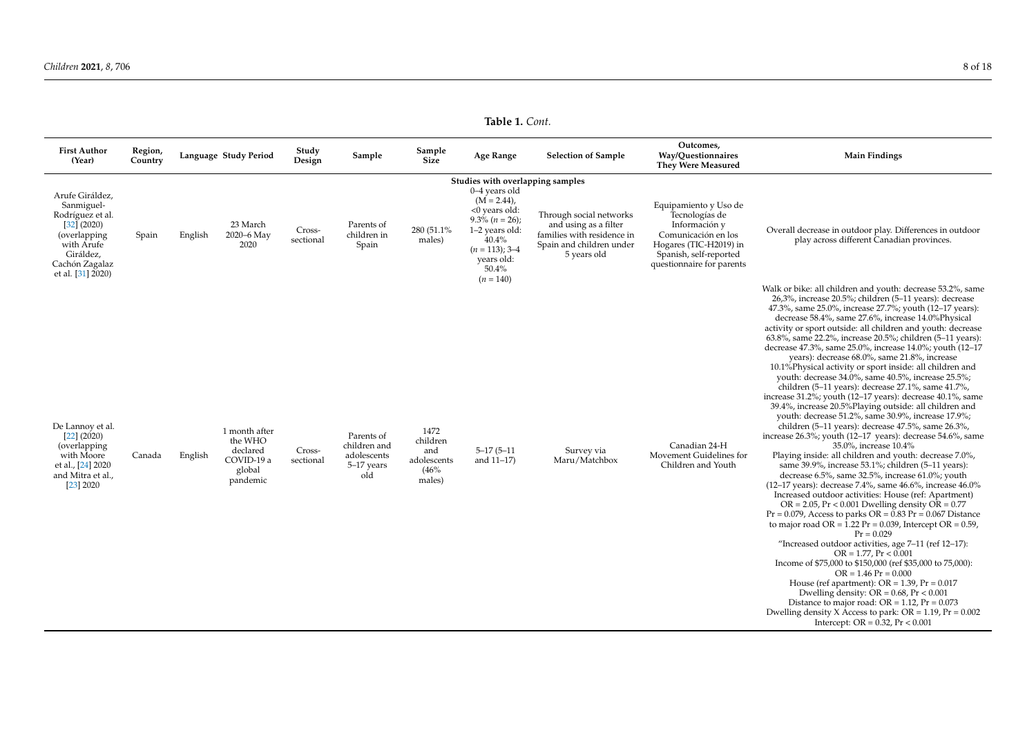**Table 1.** *Cont.*

| <b>First Author</b><br>(Year)                                                                                                                      | Region,<br>Country |         | Language Study Period                                                    | Study<br>Design     | Sample                                                         | Sample<br><b>Size</b>                                    | Age Range                                                                                                                                                                                                        | <b>Selection of Sample</b>                                                                                                | Outcomes,<br>Way/Questionnaires<br><b>They Were Measured</b>                                                                                                     | <b>Main Findings</b>                                                                                                                                                                                                                                                                                                                                                                                                                                                                                                                                                                                                                                                                                                                                                                                                                                                                                                                                                                                                                                                                                                                                                                                                                                                                                                                                                                                                                                                                                                                                                                                                                                                                                                                                                                                                                                                                                                                          |
|----------------------------------------------------------------------------------------------------------------------------------------------------|--------------------|---------|--------------------------------------------------------------------------|---------------------|----------------------------------------------------------------|----------------------------------------------------------|------------------------------------------------------------------------------------------------------------------------------------------------------------------------------------------------------------------|---------------------------------------------------------------------------------------------------------------------------|------------------------------------------------------------------------------------------------------------------------------------------------------------------|-----------------------------------------------------------------------------------------------------------------------------------------------------------------------------------------------------------------------------------------------------------------------------------------------------------------------------------------------------------------------------------------------------------------------------------------------------------------------------------------------------------------------------------------------------------------------------------------------------------------------------------------------------------------------------------------------------------------------------------------------------------------------------------------------------------------------------------------------------------------------------------------------------------------------------------------------------------------------------------------------------------------------------------------------------------------------------------------------------------------------------------------------------------------------------------------------------------------------------------------------------------------------------------------------------------------------------------------------------------------------------------------------------------------------------------------------------------------------------------------------------------------------------------------------------------------------------------------------------------------------------------------------------------------------------------------------------------------------------------------------------------------------------------------------------------------------------------------------------------------------------------------------------------------------------------------------|
| Arufe Giráldez,<br>Sanmiguel-<br>Rodríguez et al.<br>[32] (2020)<br>(overlapping<br>with Arufe<br>Giráldez,<br>Cachón Zagalaz<br>et al. [31] 2020) | Spain              | English | 23 March<br>2020-6 May<br>2020                                           | Cross-<br>sectional | Parents of<br>children in<br>Spain                             | 280 (51.1%)<br>males)                                    | Studies with overlapping samples<br>0-4 years old<br>$(M = 2.44)$ ,<br><0 years old:<br>$9.3\frac{6}{6}$ ( <i>n</i> = 26);<br>1-2 years old:<br>40.4%<br>$(n = 113)$ ; 3-4<br>years old:<br>50.4%<br>$(n = 140)$ | Through social networks<br>and using as a filter<br>families with residence in<br>Spain and children under<br>5 years old | Equipamiento y Uso de<br>Tecnologías de<br>Información y<br>Comunicación en los<br>Hogares (TIC-H2019) in<br>Spanish, self-reported<br>questionnaire for parents | Overall decrease in outdoor play. Differences in outdoor<br>play across different Canadian provinces.                                                                                                                                                                                                                                                                                                                                                                                                                                                                                                                                                                                                                                                                                                                                                                                                                                                                                                                                                                                                                                                                                                                                                                                                                                                                                                                                                                                                                                                                                                                                                                                                                                                                                                                                                                                                                                         |
| De Lannoy et al.<br>$[22]$ (2020)<br>(overlapping<br>with Moore<br>et al., [24] 2020<br>and Mitra et al.,<br>[23] 2020                             | Canada             | English | 1 month after<br>the WHO<br>declared<br>COVID-19 a<br>global<br>pandemic | Cross-<br>sectional | Parents of<br>children and<br>adolescents<br>5-17 years<br>old | 1472<br>children<br>and<br>adolescents<br>(46%<br>males) | $5 - 17(5 - 11)$<br>and $11-17$ )                                                                                                                                                                                | Survey via<br>Maru/Matchbox                                                                                               | Canadian 24-H<br>Movement Guidelines for<br>Children and Youth                                                                                                   | Walk or bike: all children and youth: decrease 53.2%, same<br>26,3%, increase 20.5%; children (5-11 years): decrease<br>47.3%, same 25.0%, increase 27.7%; youth (12-17 years):<br>decrease 58.4%, same 27.6%, increase 14.0%Physical<br>activity or sport outside: all children and youth: decrease<br>63.8%, same 22.2%, increase 20.5%; children (5-11 years):<br>decrease 47.3%, same 25.0%, increase 14.0%; youth (12-17<br>years): decrease 68.0%, same 21.8%, increase<br>10.1% Physical activity or sport inside: all children and<br>youth: decrease 34.0%, same 40.5%, increase 25.5%;<br>children (5-11 years): decrease 27.1%, same 41.7%,<br>increase 31.2%; youth (12-17 years): decrease 40.1%, same<br>39.4%, increase 20.5% Playing outside: all children and<br>youth: decrease 51.2%, same 30.9%, increase 17.9%;<br>children (5-11 years): decrease 47.5%, same 26.3%,<br>increase 26.3%; youth (12-17 years): decrease 54.6%, same<br>35.0%, increase 10.4%<br>Playing inside: all children and youth: decrease 7.0%,<br>same 39.9%, increase 53.1%; children (5-11 years):<br>decrease 6.5%, same 32.5%, increase 61.0%; youth<br>(12-17 years): decrease 7.4%, same 46.6%, increase 46.0%<br>Increased outdoor activities: House (ref: Apartment)<br>$OR = 2.05$ , $Pr < 0.001$ Dwelling density $OR = 0.77$<br>$Pr = 0.079$ , Access to parks $OR = 0.83 Pr = 0.067$ Distance<br>to major road $OR = 1.22$ $Pr = 0.039$ , Intercept $OR = 0.59$ ,<br>$Pr = 0.029$<br>"Increased outdoor activities, age 7-11 (ref 12-17):<br>$OR = 1.77$ , $Pr < 0.001$<br>Income of \$75,000 to \$150,000 (ref \$35,000 to 75,000):<br>$OR = 1.46$ $Pr = 0.000$<br>House (ref apartment): $OR = 1.39$ , $Pr = 0.017$<br>Dwelling density: $OR = 0.68$ , $Pr < 0.001$<br>Distance to major road: $OR = 1.12$ , $Pr = 0.073$<br>Dwelling density X Access to park: $OR = 1.19$ , $Pr = 0.002$<br>Intercept: $OR = 0.32$ , $Pr < 0.001$ |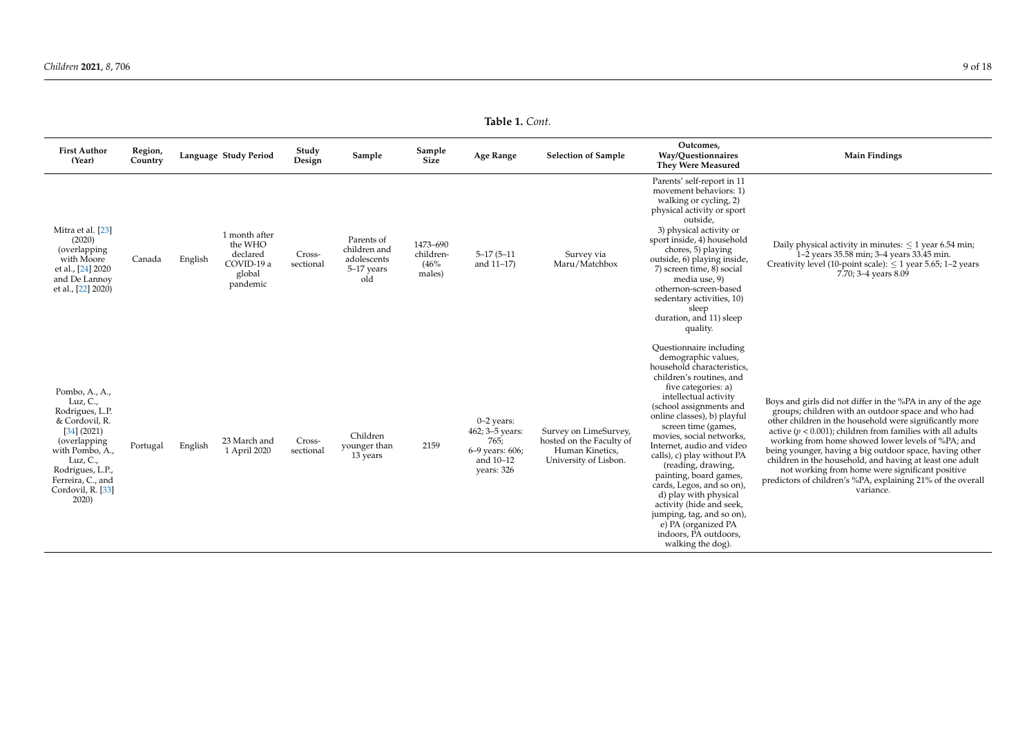**Table 1.** *Cont.*

<span id="page-8-0"></span>

| <b>First Author</b><br>(Year)                                                                                                                                                                                | Region,<br>Country |         | Language Study Period                                                    | Study<br>Design     | Sample                                                         | Sample<br>Size                          | Age Range                                                                             | <b>Selection of Sample</b>                                                                    | Outcomes,<br>Way/Ouestionnaires<br><b>They Were Measured</b>                                                                                                                                                                                                                                                                                                                                                                                                                                                                                                                                                | <b>Main Findings</b>                                                                                                                                                                                                                                                                                                                                                                                                                                                                                                                                     |
|--------------------------------------------------------------------------------------------------------------------------------------------------------------------------------------------------------------|--------------------|---------|--------------------------------------------------------------------------|---------------------|----------------------------------------------------------------|-----------------------------------------|---------------------------------------------------------------------------------------|-----------------------------------------------------------------------------------------------|-------------------------------------------------------------------------------------------------------------------------------------------------------------------------------------------------------------------------------------------------------------------------------------------------------------------------------------------------------------------------------------------------------------------------------------------------------------------------------------------------------------------------------------------------------------------------------------------------------------|----------------------------------------------------------------------------------------------------------------------------------------------------------------------------------------------------------------------------------------------------------------------------------------------------------------------------------------------------------------------------------------------------------------------------------------------------------------------------------------------------------------------------------------------------------|
| Mitra et al. [23]<br>(2020)<br>(overlapping<br>with Moore<br>et al., [24] 2020<br>and De Lannoy<br>et al., [22] 2020)                                                                                        | Canada             | English | 1 month after<br>the WHO<br>declared<br>COVID-19 a<br>global<br>pandemic | Cross-<br>sectional | Parents of<br>children and<br>adolescents<br>5-17 years<br>old | 1473-690<br>children-<br>(46%<br>males) | $5 - 17(5 - 11)$<br>and 11-17)                                                        | Survey via<br>Maru/Matchbox                                                                   | Parents' self-report in 11<br>movement behaviors: 1)<br>walking or cycling, 2)<br>physical activity or sport<br>outside.<br>3) physical activity or<br>sport inside, 4) household<br>chores, 5) playing<br>outside, 6) playing inside,<br>7) screen time, 8) social<br>media use, 9)<br>othernon-screen-based<br>sedentary activities, 10)<br>sleep                                                                                                                                                                                                                                                         | Daily physical activity in minutes: $\leq 1$ year 6.54 min;<br>1-2 years 35.58 min; 3-4 years 33.45 min.<br>Creativity level (10-point scale): $\leq$ 1 year 5.65; 1-2 years<br>7.70; 3-4 years 8.09                                                                                                                                                                                                                                                                                                                                                     |
| Pombo, A., A.,<br>Luz, C.,<br>Rodrigues, L.P.<br>& Cordovil, R.<br>[34] (2021)<br>(overlapping<br>with Pombo, A.,<br>Luz, $C_{\cdot}$<br>Rodrigues, L.P.,<br>Ferreira, C., and<br>Cordovil, R. [33]<br>2020) | Portugal           | English | 23 March and<br>1 April 2020                                             | Cross-<br>sectional | Children<br>younger than<br>13 years                           | 2159                                    | $0-2$ years:<br>462; 3-5 years:<br>765;<br>6-9 years: 606;<br>and 10-12<br>years: 326 | Survey on LimeSurvey,<br>hosted on the Faculty of<br>Human Kinetics,<br>University of Lisbon. | duration, and 11) sleep<br>quality.<br>Questionnaire including<br>demographic values,<br>household characteristics.<br>children's routines, and<br>five categories: a)<br>intellectual activity<br>(school assignments and<br>online classes), b) playful<br>screen time (games,<br>movies, social networks,<br>Internet, audio and video<br>calls), c) play without PA<br>(reading, drawing,<br>painting, board games,<br>cards, Legos, and so on),<br>d) play with physical<br>activity (hide and seek,<br>jumping, tag, and so on),<br>e) PA (organized PA<br>indoors. PA outdoors.<br>walking the dog). | Boys and girls did not differ in the %PA in any of the age<br>groups; children with an outdoor space and who had<br>other children in the household were significantly more<br>active ( $p < 0.001$ ); children from families with all adults<br>working from home showed lower levels of %PA; and<br>being younger, having a big outdoor space, having other<br>children in the household, and having at least one adult<br>not working from home were significant positive<br>predictors of children's %PA, explaining 21% of the overall<br>variance. |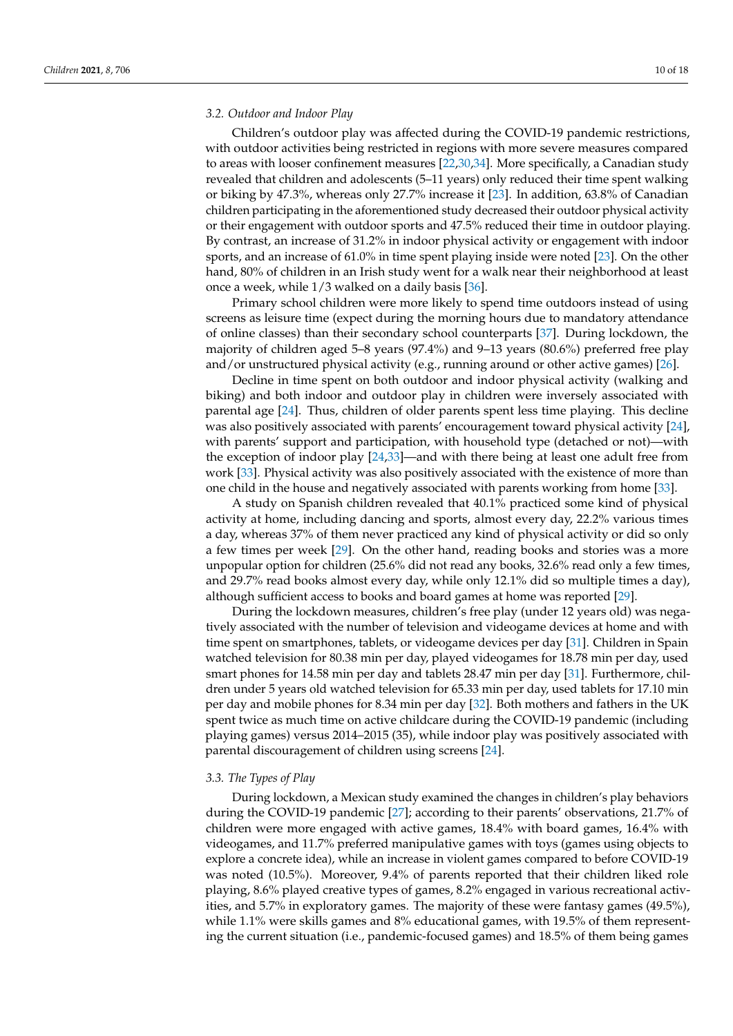#### *3.2. Outdoor and Indoor Play*

Children's outdoor play was affected during the COVID-19 pandemic restrictions, with outdoor activities being restricted in regions with more severe measures compared to areas with looser confinement measures [\[22](#page-16-15)[,30,](#page-16-29)[34\]](#page-17-2). More specifically, a Canadian study revealed that children and adolescents (5–11 years) only reduced their time spent walking or biking by 47.3%, whereas only 27.7% increase it [\[23\]](#page-16-30). In addition, 63.8% of Canadian children participating in the aforementioned study decreased their outdoor physical activity or their engagement with outdoor sports and 47.5% reduced their time in outdoor playing. By contrast, an increase of 31.2% in indoor physical activity or engagement with indoor sports, and an increase of 61.0% in time spent playing inside were noted [\[23\]](#page-16-30). On the other hand, 80% of children in an Irish study went for a walk near their neighborhood at least once a week, while 1/3 walked on a daily basis [\[36\]](#page-17-4).

Primary school children were more likely to spend time outdoors instead of using screens as leisure time (expect during the morning hours due to mandatory attendance of online classes) than their secondary school counterparts [\[37\]](#page-17-5). During lockdown, the majority of children aged 5–8 years (97.4%) and 9–13 years (80.6%) preferred free play and/or unstructured physical activity (e.g., running around or other active games) [\[26\]](#page-16-17).

Decline in time spent on both outdoor and indoor physical activity (walking and biking) and both indoor and outdoor play in children were inversely associated with parental age [\[24\]](#page-16-31). Thus, children of older parents spent less time playing. This decline was also positively associated with parents' encouragement toward physical activity [\[24\]](#page-16-31), with parents' support and participation, with household type (detached or not)—with the exception of indoor play [\[24](#page-16-31)[,33\]](#page-17-1)—and with there being at least one adult free from work [\[33\]](#page-17-1). Physical activity was also positively associated with the existence of more than one child in the house and negatively associated with parents working from home [\[33\]](#page-17-1).

A study on Spanish children revealed that 40.1% practiced some kind of physical activity at home, including dancing and sports, almost every day, 22.2% various times a day, whereas 37% of them never practiced any kind of physical activity or did so only a few times per week [\[29\]](#page-16-32). On the other hand, reading books and stories was a more unpopular option for children (25.6% did not read any books, 32.6% read only a few times, and 29.7% read books almost every day, while only 12.1% did so multiple times a day), although sufficient access to books and board games at home was reported [\[29\]](#page-16-32).

During the lockdown measures, children's free play (under 12 years old) was negatively associated with the number of television and videogame devices at home and with time spent on smartphones, tablets, or videogame devices per day [\[31\]](#page-17-15). Children in Spain watched television for 80.38 min per day, played videogames for 18.78 min per day, used smart phones for 14.58 min per day and tablets 28.47 min per day [\[31\]](#page-17-15). Furthermore, children under 5 years old watched television for 65.33 min per day, used tablets for 17.10 min per day and mobile phones for 8.34 min per day [\[32\]](#page-17-0). Both mothers and fathers in the UK spent twice as much time on active childcare during the COVID-19 pandemic (including playing games) versus 2014–2015 (35), while indoor play was positively associated with parental discouragement of children using screens [\[24\]](#page-16-31).

#### *3.3. The Types of Play*

During lockdown, a Mexican study examined the changes in children's play behaviors during the COVID-19 pandemic [\[27\]](#page-16-18); according to their parents' observations, 21.7% of children were more engaged with active games, 18.4% with board games, 16.4% with videogames, and 11.7% preferred manipulative games with toys (games using objects to explore a concrete idea), while an increase in violent games compared to before COVID-19 was noted (10.5%). Moreover, 9.4% of parents reported that their children liked role playing, 8.6% played creative types of games, 8.2% engaged in various recreational activities, and 5.7% in exploratory games. The majority of these were fantasy games (49.5%), while 1.1% were skills games and 8% educational games, with 19.5% of them representing the current situation (i.e., pandemic-focused games) and 18.5% of them being games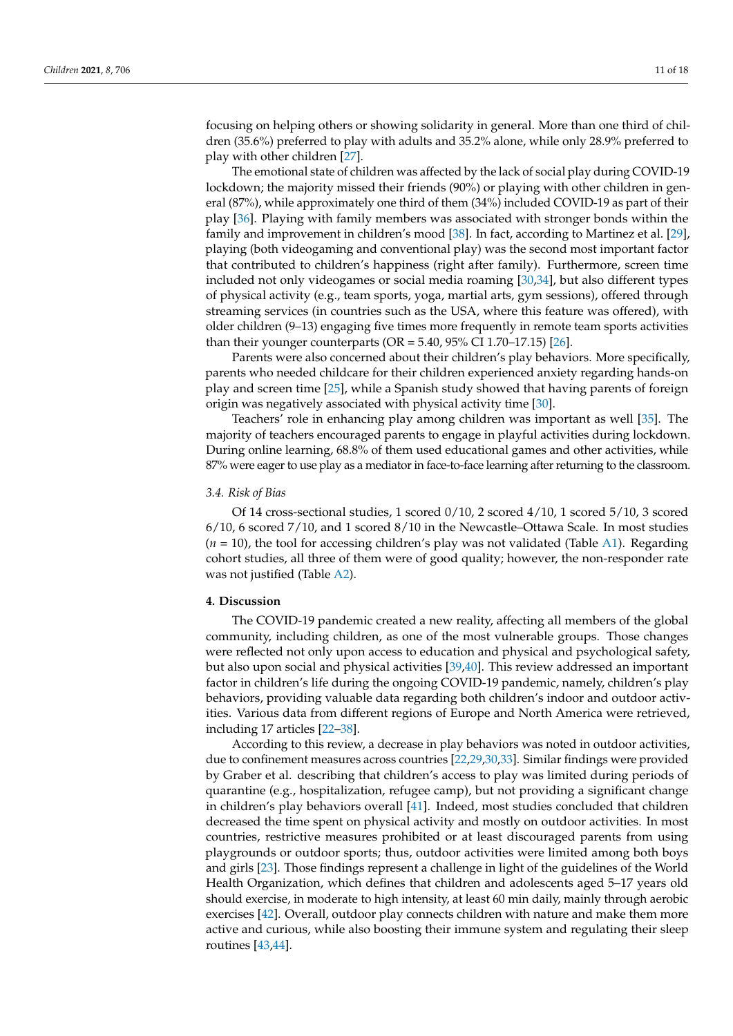focusing on helping others or showing solidarity in general. More than one third of children (35.6%) preferred to play with adults and 35.2% alone, while only 28.9% preferred to play with other children [\[27\]](#page-16-18).

The emotional state of children was affected by the lack of social play during COVID-19 lockdown; the majority missed their friends (90%) or playing with other children in general (87%), while approximately one third of them (34%) included COVID-19 as part of their play [\[36\]](#page-17-4). Playing with family members was associated with stronger bonds within the family and improvement in children's mood [\[38\]](#page-17-6). In fact, according to Martinez et al. [\[29\]](#page-16-32), playing (both videogaming and conventional play) was the second most important factor that contributed to children's happiness (right after family). Furthermore, screen time included not only videogames or social media roaming [\[30](#page-16-29)[,34\]](#page-17-2), but also different types of physical activity (e.g., team sports, yoga, martial arts, gym sessions), offered through streaming services (in countries such as the USA, where this feature was offered), with older children (9–13) engaging five times more frequently in remote team sports activities than their younger counterparts ( $OR = 5.40$ ,  $95\%$  CI 1.70–17.15) [\[26\]](#page-16-17).

Parents were also concerned about their children's play behaviors. More specifically, parents who needed childcare for their children experienced anxiety regarding hands-on play and screen time [\[25\]](#page-16-16), while a Spanish study showed that having parents of foreign origin was negatively associated with physical activity time [\[30\]](#page-16-29).

Teachers' role in enhancing play among children was important as well [\[35\]](#page-17-3). The majority of teachers encouraged parents to engage in playful activities during lockdown. During online learning, 68.8% of them used educational games and other activities, while 87% were eager to use play as a mediator in face-to-face learning after returning to the classroom.

#### *3.4. Risk of Bias*

Of 14 cross-sectional studies, 1 scored  $0/10$ , 2 scored  $4/10$ , 1 scored  $5/10$ , 3 scored 6/10, 6 scored 7/10, and 1 scored 8/10 in the Newcastle–Ottawa Scale. In most studies  $(n = 10)$ , the tool for accessing children's play was not validated (Table [A1\)](#page-14-0). Regarding cohort studies, all three of them were of good quality; however, the non-responder rate was not justified (Table [A2\)](#page-15-0).

#### **4. Discussion**

The COVID-19 pandemic created a new reality, affecting all members of the global community, including children, as one of the most vulnerable groups. Those changes were reflected not only upon access to education and physical and psychological safety, but also upon social and physical activities [\[39,](#page-17-16)[40\]](#page-17-17). This review addressed an important factor in children's life during the ongoing COVID-19 pandemic, namely, children's play behaviors, providing valuable data regarding both children's indoor and outdoor activities. Various data from different regions of Europe and North America were retrieved, including 17 articles [\[22–](#page-16-15)[38\]](#page-17-6).

According to this review, a decrease in play behaviors was noted in outdoor activities, due to confinement measures across countries [\[22](#page-16-15)[,29,](#page-16-32)[30,](#page-16-29)[33\]](#page-17-1). Similar findings were provided by Graber et al. describing that children's access to play was limited during periods of quarantine (e.g., hospitalization, refugee camp), but not providing a significant change in children's play behaviors overall [\[41\]](#page-17-18). Indeed, most studies concluded that children decreased the time spent on physical activity and mostly on outdoor activities. In most countries, restrictive measures prohibited or at least discouraged parents from using playgrounds or outdoor sports; thus, outdoor activities were limited among both boys and girls [\[23\]](#page-16-30). Those findings represent a challenge in light of the guidelines of the World Health Organization, which defines that children and adolescents aged 5–17 years old should exercise, in moderate to high intensity, at least 60 min daily, mainly through aerobic exercises [\[42\]](#page-17-19). Overall, outdoor play connects children with nature and make them more active and curious, while also boosting their immune system and regulating their sleep routines [\[43,](#page-17-20)[44\]](#page-17-21).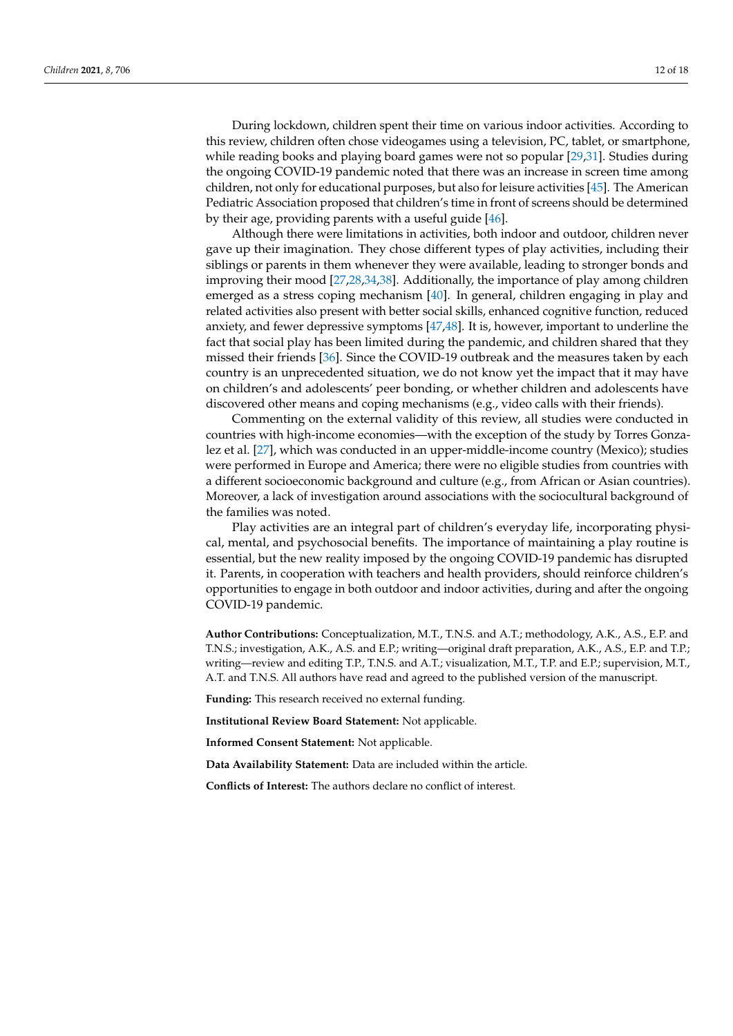During lockdown, children spent their time on various indoor activities. According to this review, children often chose videogames using a television, PC, tablet, or smartphone, while reading books and playing board games were not so popular [\[29,](#page-16-32)[31\]](#page-17-15). Studies during the ongoing COVID-19 pandemic noted that there was an increase in screen time among children, not only for educational purposes, but also for leisure activities [\[45\]](#page-17-22). The American Pediatric Association proposed that children's time in front of screens should be determined by their age, providing parents with a useful guide [\[46\]](#page-17-23).

Although there were limitations in activities, both indoor and outdoor, children never gave up their imagination. They chose different types of play activities, including their siblings or parents in them whenever they were available, leading to stronger bonds and improving their mood [\[27,](#page-16-18)[28,](#page-16-19)[34](#page-17-2)[,38\]](#page-17-6). Additionally, the importance of play among children emerged as a stress coping mechanism [\[40\]](#page-17-17). In general, children engaging in play and related activities also present with better social skills, enhanced cognitive function, reduced anxiety, and fewer depressive symptoms [\[47](#page-17-24)[,48\]](#page-17-25). It is, however, important to underline the fact that social play has been limited during the pandemic, and children shared that they missed their friends [\[36\]](#page-17-4). Since the COVID-19 outbreak and the measures taken by each country is an unprecedented situation, we do not know yet the impact that it may have on children's and adolescents' peer bonding, or whether children and adolescents have discovered other means and coping mechanisms (e.g., video calls with their friends).

Commenting on the external validity of this review, all studies were conducted in countries with high-income economies—with the exception of the study by Torres Gonzalez et al. [\[27\]](#page-16-18), which was conducted in an upper-middle-income country (Mexico); studies were performed in Europe and America; there were no eligible studies from countries with a different socioeconomic background and culture (e.g., from African or Asian countries). Moreover, a lack of investigation around associations with the sociocultural background of the families was noted.

Play activities are an integral part of children's everyday life, incorporating physical, mental, and psychosocial benefits. The importance of maintaining a play routine is essential, but the new reality imposed by the ongoing COVID-19 pandemic has disrupted it. Parents, in cooperation with teachers and health providers, should reinforce children's opportunities to engage in both outdoor and indoor activities, during and after the ongoing COVID-19 pandemic.

**Author Contributions:** Conceptualization, M.T., T.N.S. and A.T.; methodology, A.K., A.S., E.P. and T.N.S.; investigation, A.K., A.S. and E.P.; writing—original draft preparation, A.K., A.S., E.P. and T.P.; writing—review and editing T.P., T.N.S. and A.T.; visualization, M.T., T.P. and E.P.; supervision, M.T., A.T. and T.N.S. All authors have read and agreed to the published version of the manuscript.

**Funding:** This research received no external funding.

**Institutional Review Board Statement:** Not applicable.

**Informed Consent Statement:** Not applicable.

**Data Availability Statement:** Data are included within the article.

**Conflicts of Interest:** The authors declare no conflict of interest.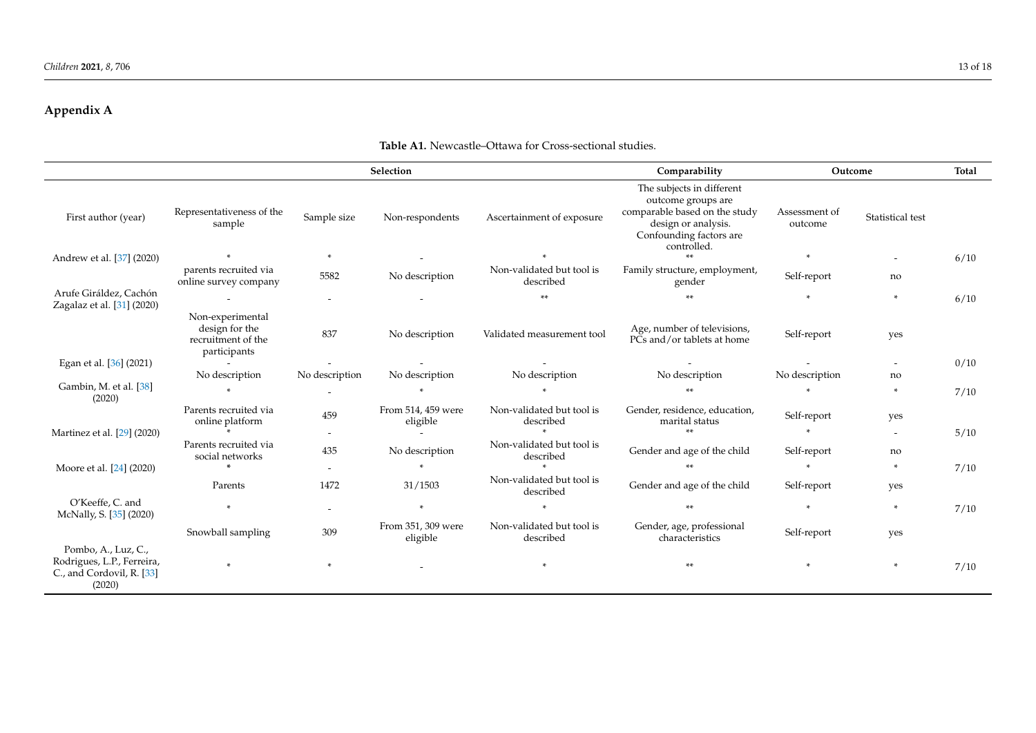# **Appendix A**

<span id="page-12-0"></span>

|                                                                                          |                                                                          |                          | Selection                      |                                        | Comparability                                                                                                                                     | Outcome                  |                          | <b>Total</b> |
|------------------------------------------------------------------------------------------|--------------------------------------------------------------------------|--------------------------|--------------------------------|----------------------------------------|---------------------------------------------------------------------------------------------------------------------------------------------------|--------------------------|--------------------------|--------------|
| First author (year)                                                                      | Representativeness of the<br>sample                                      | Sample size              | Non-respondents                | Ascertainment of exposure              | The subjects in different<br>outcome groups are<br>comparable based on the study<br>design or analysis.<br>Confounding factors are<br>controlled. | Assessment of<br>outcome | Statistical test         |              |
| Andrew et al. [37] (2020)                                                                |                                                                          | $\ast$                   |                                |                                        |                                                                                                                                                   | $\ast$                   |                          | 6/10         |
|                                                                                          | parents recruited via<br>online survey company                           | 5582                     | No description                 | Non-validated but tool is<br>described | Family structure, employment,<br>gender                                                                                                           | Self-report              | no                       |              |
| Arufe Giráldez, Cachón                                                                   |                                                                          | $\overline{\phantom{a}}$ |                                | **                                     |                                                                                                                                                   | $\ast$                   | ÷                        | 6/10         |
| Zagalaz et al. [31] (2020)                                                               | Non-experimental<br>design for the<br>recruitment of the<br>participants | 837                      | No description                 | Validated measurement tool             | Age, number of televisions,<br>PCs and/or tablets at home                                                                                         | Self-report              | yes                      |              |
| Egan et al. [36] (2021)                                                                  | $\sim$                                                                   |                          |                                |                                        |                                                                                                                                                   |                          |                          | 0/10         |
|                                                                                          | No description                                                           | No description           | No description                 | No description                         | No description                                                                                                                                    | No description           | no                       |              |
| Gambin, M. et al. [38]<br>(2020)                                                         | $\ast$                                                                   |                          | $\mathbf{x}$                   |                                        |                                                                                                                                                   | $\ast$                   | *                        | 7/10         |
|                                                                                          | Parents recruited via<br>online platform                                 | 459                      | From 514, 459 were<br>eligible | Non-validated but tool is<br>described | Gender, residence, education,<br>marital status                                                                                                   | Self-report              | yes                      |              |
| Martinez et al. [29] (2020)                                                              |                                                                          |                          |                                |                                        | M-M-                                                                                                                                              | $\ast$                   | $\overline{\phantom{a}}$ | 5/10         |
|                                                                                          | Parents recruited via<br>social networks                                 | 435                      | No description                 | Non-validated but tool is<br>described | Gender and age of the child                                                                                                                       | Self-report              | no                       |              |
| Moore et al. [24] (2020)                                                                 | $\ast$                                                                   |                          |                                |                                        |                                                                                                                                                   | $*$                      | *                        | 7/10         |
|                                                                                          | Parents                                                                  | 1472                     | 31/1503                        | Non-validated but tool is<br>described | Gender and age of the child                                                                                                                       | Self-report              | yes                      |              |
| O'Keeffe, C. and<br>McNally, S. [35] (2020)                                              | $*$                                                                      | $\overline{\phantom{a}}$ | $\ast$                         | $\ast$                                 |                                                                                                                                                   | $*$                      | ÷                        | 7/10         |
|                                                                                          | Snowball sampling                                                        | 309                      | From 351, 309 were<br>eligible | Non-validated but tool is<br>described | Gender, age, professional<br>characteristics                                                                                                      | Self-report              | yes                      |              |
| Pombo, A., Luz, C.,<br>Rodrigues, L.P., Ferreira,<br>C., and Cordovil, R. [33]<br>(2020) | $\ast$                                                                   | $\ast$                   |                                | $\ast$                                 |                                                                                                                                                   | $*$                      | *                        | 7/10         |

## **Table A1.** Newcastle–Ottawa for Cross-sectional studies.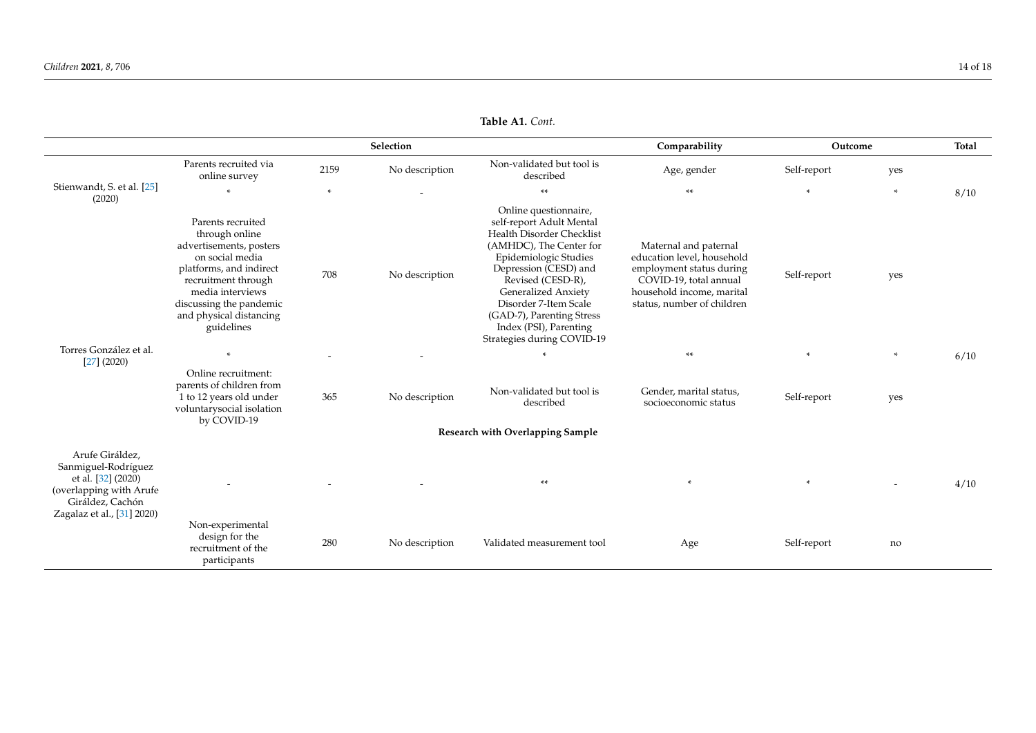|                                                                                                                                           |                                                                                                                                                                                                                             |        | Selection      |                                                                                                                                                                                                                                                                                                                       | Comparability                                                                                                                                                        | Outcome     |                          | <b>Total</b> |
|-------------------------------------------------------------------------------------------------------------------------------------------|-----------------------------------------------------------------------------------------------------------------------------------------------------------------------------------------------------------------------------|--------|----------------|-----------------------------------------------------------------------------------------------------------------------------------------------------------------------------------------------------------------------------------------------------------------------------------------------------------------------|----------------------------------------------------------------------------------------------------------------------------------------------------------------------|-------------|--------------------------|--------------|
|                                                                                                                                           | Parents recruited via<br>online survey                                                                                                                                                                                      | 2159   | No description | Non-validated but tool is<br>described                                                                                                                                                                                                                                                                                | Age, gender                                                                                                                                                          | Self-report | yes                      |              |
| Stienwandt, S. et al. [25]<br>(2020)                                                                                                      | $\star$                                                                                                                                                                                                                     | $\ast$ |                | $**$                                                                                                                                                                                                                                                                                                                  | $**$                                                                                                                                                                 | $\ast$      | $\ast$                   | 8/10         |
|                                                                                                                                           | Parents recruited<br>through online<br>advertisements, posters<br>on social media<br>platforms, and indirect<br>recruitment through<br>media interviews<br>discussing the pandemic<br>and physical distancing<br>guidelines | 708    | No description | Online questionnaire,<br>self-report Adult Mental<br>Health Disorder Checklist<br>(AMHDC), The Center for<br>Epidemiologic Studies<br>Depression (CESD) and<br>Revised (CESD-R),<br>Generalized Anxiety<br>Disorder 7-Item Scale<br>(GAD-7), Parenting Stress<br>Index (PSI), Parenting<br>Strategies during COVID-19 | Maternal and paternal<br>education level, household<br>employment status during<br>COVID-19, total annual<br>household income, marital<br>status, number of children | Self-report | yes                      |              |
| Torres González et al.<br>$[27]$ (2020)                                                                                                   | $\ast$                                                                                                                                                                                                                      |        |                | $\ast$                                                                                                                                                                                                                                                                                                                | **                                                                                                                                                                   | $\ast$      | $\ast$                   | 6/10         |
|                                                                                                                                           | Online recruitment:<br>parents of children from<br>1 to 12 years old under<br>voluntarysocial isolation<br>by COVID-19                                                                                                      | 365    | No description | Non-validated but tool is<br>described                                                                                                                                                                                                                                                                                | Gender, marital status,<br>socioeconomic status                                                                                                                      | Self-report | yes                      |              |
|                                                                                                                                           |                                                                                                                                                                                                                             |        |                | Research with Overlapping Sample                                                                                                                                                                                                                                                                                      |                                                                                                                                                                      |             |                          |              |
| Arufe Giráldez,<br>Sanmiguel-Rodríguez<br>et al. [32] (2020)<br>(overlapping with Arufe<br>Giráldez, Cachón<br>Zagalaz et al., [31] 2020) |                                                                                                                                                                                                                             |        |                | **                                                                                                                                                                                                                                                                                                                    | $\ast$                                                                                                                                                               | $\ast$      | $\overline{\phantom{a}}$ | 4/10         |
|                                                                                                                                           | Non-experimental<br>design for the<br>recruitment of the<br>participants                                                                                                                                                    | 280    | No description | Validated measurement tool                                                                                                                                                                                                                                                                                            | Age                                                                                                                                                                  | Self-report | no                       |              |

**Table A1.** *Cont.*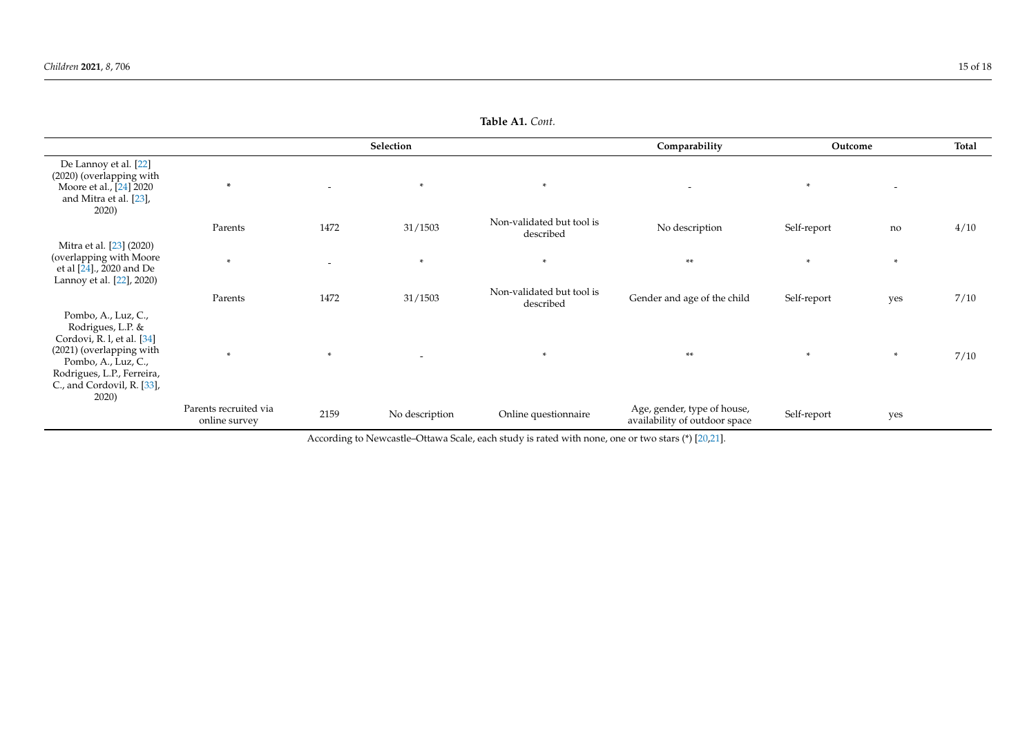|                                                                                                                                                                                                |                                        |                          | Selection      |                                        | Comparability                                                | Outcome     |                          | Total |
|------------------------------------------------------------------------------------------------------------------------------------------------------------------------------------------------|----------------------------------------|--------------------------|----------------|----------------------------------------|--------------------------------------------------------------|-------------|--------------------------|-------|
| De Lannoy et al. [22]<br>(2020) (overlapping with<br>Moore et al., [24] 2020<br>and Mitra et al. [23],<br>2020)                                                                                | $\ast$                                 | $\overline{\phantom{a}}$ | $\ast$         | $*$                                    | $\overline{\phantom{a}}$                                     | $*$         | $\overline{\phantom{0}}$ |       |
|                                                                                                                                                                                                | Parents                                | 1472                     | 31/1503        | Non-validated but tool is<br>described | No description                                               | Self-report | no                       | 4/10  |
| Mitra et al. [23] (2020)<br>(overlapping with Moore<br>et al [24]., 2020 and De<br>Lannoy et al. [22], 2020)                                                                                   | $\ast$                                 | $\overline{\phantom{a}}$ | *              | $\ast$                                 | $**$                                                         | $\ast$      | $\ast$                   |       |
|                                                                                                                                                                                                | Parents                                | 1472                     | 31/1503        | Non-validated but tool is<br>described | Gender and age of the child                                  | Self-report | yes                      | 7/10  |
| Pombo, A., Luz, C.,<br>Rodrigues, L.P. &<br>Cordovi, R. l, et al. [34]<br>(2021) (overlapping with<br>Pombo, A., Luz, C.,<br>Rodrigues, L.P., Ferreira,<br>C., and Cordovil, R. [33],<br>2020) | $\ast$                                 | $\ast$                   | $\overline{a}$ | $\ast$                                 | $**$                                                         | $\ast$      | $\ast$                   | 7/10  |
|                                                                                                                                                                                                | Parents recruited via<br>online survey | 2159                     | No description | Online questionnaire                   | Age, gender, type of house,<br>availability of outdoor space | Self-report | yes                      |       |

**Table A1.** *Cont.*

<span id="page-14-0"></span>According to Newcastle–Ottawa Scale, each study is rated with none, one or two stars (\*) [\[20](#page-16-33)[,21\]](#page-16-34).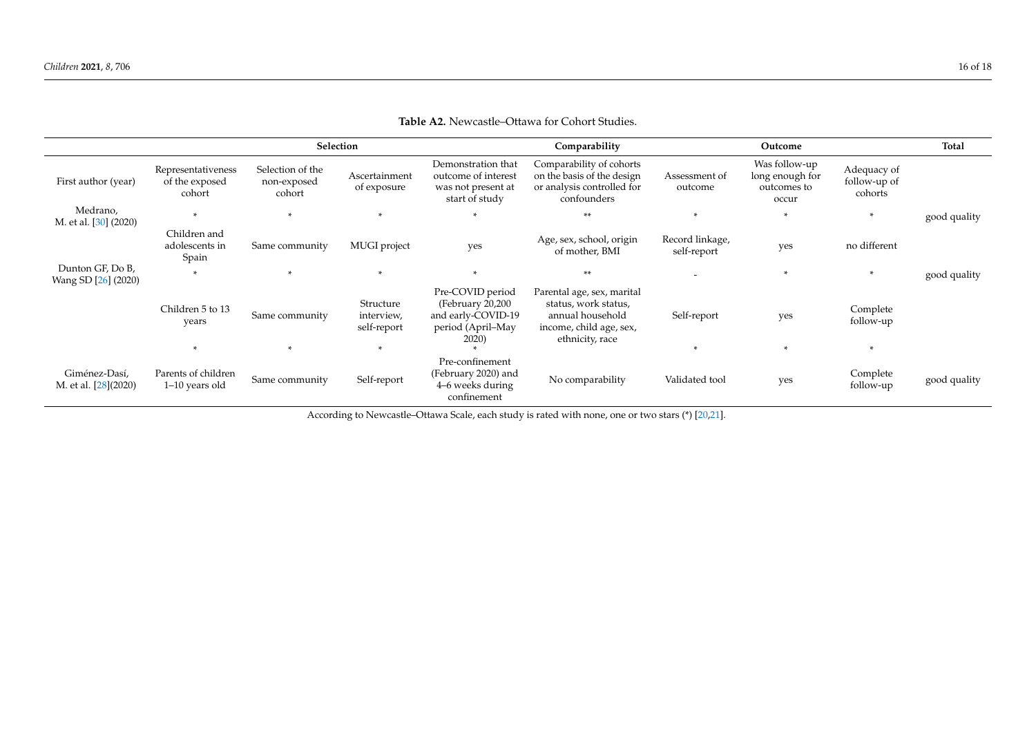|                                         |                                                |                                           | Selection                                              |                                                                                          | Comparability                                                                                                        |                                | Outcome                                                  |                                        | Total        |
|-----------------------------------------|------------------------------------------------|-------------------------------------------|--------------------------------------------------------|------------------------------------------------------------------------------------------|----------------------------------------------------------------------------------------------------------------------|--------------------------------|----------------------------------------------------------|----------------------------------------|--------------|
| First author (year)                     | Representativeness<br>of the exposed<br>cohort | Selection of the<br>non-exposed<br>cohort | Ascertainment<br>of exposure                           | Demonstration that<br>outcome of interest<br>was not present at<br>start of study        | Comparability of cohorts<br>on the basis of the design<br>or analysis controlled for<br>confounders                  | Assessment of<br>outcome       | Was follow-up<br>long enough for<br>outcomes to<br>occur | Adequacy of<br>follow-up of<br>cohorts |              |
| Medrano,<br>M. et al. [30] (2020)       |                                                |                                           |                                                        | $\ast$                                                                                   | **                                                                                                                   |                                | $\ast$                                                   | *                                      | good quality |
|                                         | Children and<br>adolescents in<br>Spain        | Same community                            | MUGI project                                           | yes                                                                                      | Age, sex, school, origin<br>of mother, BMI                                                                           | Record linkage,<br>self-report | yes                                                      | no different                           |              |
| Dunton GF, Do B,<br>Wang SD [26] (2020) | $\ast$                                         | $\mathbf{x}$                              | $\ast$                                                 |                                                                                          | **                                                                                                                   |                                | $\ast$                                                   | $\ast$                                 | good quality |
|                                         | Children 5 to 13<br>years                      | Same community                            | Structure<br>interview,<br>self-report<br>$\mathbf{r}$ | Pre-COVID period<br>(February 20,200<br>and early-COVID-19<br>period (April–May<br>2020) | Parental age, sex, marital<br>status, work status,<br>annual household<br>income, child age, sex,<br>ethnicity, race | Self-report                    | yes<br>×.                                                | Complete<br>follow-up<br>$\mathbf{r}$  |              |
|                                         |                                                |                                           |                                                        | Pre-confinement                                                                          |                                                                                                                      |                                |                                                          |                                        |              |
| Giménez-Dasí,<br>M. et al. [28](2020)   | Parents of children<br>1-10 years old          | Same community                            | Self-report                                            | (February 2020) and<br>4–6 weeks during<br>confinement                                   | No comparability                                                                                                     | Validated tool                 | yes                                                      | Complete<br>follow-up                  | good quality |

# **Table A2.** Newcastle–Ottawa for Cohort Studies.

<span id="page-15-0"></span>According to Newcastle–Ottawa Scale, each study is rated with none, one or two stars (\*) [\[20](#page-16-33)[,21\]](#page-16-34).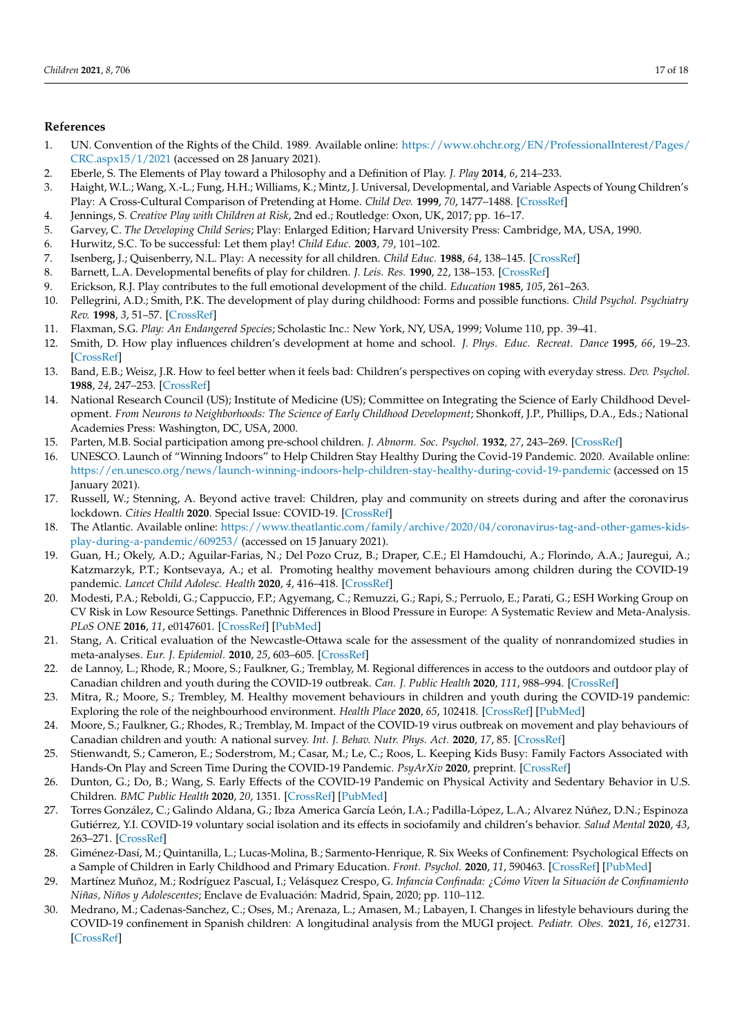#### **References**

- <span id="page-16-0"></span>1. UN. Convention of the Rights of the Child. 1989. Available online: [https://www.ohchr.org/EN/ProfessionalInterest/Pages/](https://www.ohchr.org/EN/ProfessionalInterest/Pages/CRC.aspx15/1/2021) [CRC.aspx15/1/2021](https://www.ohchr.org/EN/ProfessionalInterest/Pages/CRC.aspx15/1/2021) (accessed on 28 January 2021).
- <span id="page-16-1"></span>2. Eberle, S. The Elements of Play toward a Philosophy and a Definition of Play. *J. Play* **2014**, *6*, 214–233.
- <span id="page-16-2"></span>3. Haight, W.L.; Wang, X.-L.; Fung, H.H.; Williams, K.; Mintz, J. Universal, Developmental, and Variable Aspects of Young Children's Play: A Cross-Cultural Comparison of Pretending at Home. *Child Dev.* **1999**, *70*, 1477–1488. [\[CrossRef\]](http://doi.org/10.1111/1467-8624.00107)
- <span id="page-16-3"></span>4. Jennings, S. *Creative Play with Children at Risk*, 2nd ed.; Routledge: Oxon, UK, 2017; pp. 16–17.
- <span id="page-16-4"></span>5. Garvey, C. *The Developing Child Series*; Play: Enlarged Edition; Harvard University Press: Cambridge, MA, USA, 1990.
- <span id="page-16-5"></span>6. Hurwitz, S.C. To be successful: Let them play! *Child Educ.* **2003**, *79*, 101–102.
- 7. Isenberg, J.; Quisenberry, N.L. Play: A necessity for all children. *Child Educ.* **1988**, *64*, 138–145. [\[CrossRef\]](http://doi.org/10.1080/00094056.1988.10521522)
- 8. Barnett, L.A. Developmental benefits of play for children. *J. Leis. Res.* **1990**, *22*, 138–153. [\[CrossRef\]](http://doi.org/10.1080/00222216.1990.11969821)
- <span id="page-16-33"></span>9. Erickson, R.J. Play contributes to the full emotional development of the child. *Education* **1985**, *105*, 261–263.
- 10. Pellegrini, A.D.; Smith, P.K. The development of play during childhood: Forms and possible functions. *Child Psychol. Psychiatry Rev.* **1998**, *3*, 51–57. [\[CrossRef\]](http://doi.org/10.1017/S1360641798001476)
- <span id="page-16-34"></span>11. Flaxman, S.G. *Play: An Endangered Species*; Scholastic Inc.: New York, NY, USA, 1999; Volume 110, pp. 39–41.
- 12. Smith, D. How play influences children's development at home and school. *J. Phys. Educ. Recreat. Dance* **1995**, *66*, 19–23. [\[CrossRef\]](http://doi.org/10.1080/07303084.1995.10607134)
- <span id="page-16-27"></span><span id="page-16-6"></span>13. Band, E.B.; Weisz, J.R. How to feel better when it feels bad: Children's perspectives on coping with everyday stress. *Dev. Psychol.* **1988**, *24*, 247–253. [\[CrossRef\]](http://doi.org/10.1037/0012-1649.24.2.247)
- <span id="page-16-28"></span><span id="page-16-24"></span><span id="page-16-7"></span>14. National Research Council (US); Institute of Medicine (US); Committee on Integrating the Science of Early Childhood Development. *From Neurons to Neighborhoods: The Science of Early Childhood Development*; Shonkoff, J.P., Phillips, D.A., Eds.; National Academies Press: Washington, DC, USA, 2000.
- <span id="page-16-26"></span><span id="page-16-8"></span>15. Parten, M.B. Social participation among pre-school children. *J. Abnorm. Soc. Psychol.* **1932**, *27*, 243–269. [\[CrossRef\]](http://doi.org/10.1037/h0074524)
- <span id="page-16-20"></span><span id="page-16-9"></span>16. UNESCO. Launch of "Winning Indoors" to Help Children Stay Healthy During the Covid-19 Pandemic. 2020. Available online: <https://en.unesco.org/news/launch-winning-indoors-help-children-stay-healthy-during-covid-19-pandemic> (accessed on 15 January 2021).
- <span id="page-16-25"></span><span id="page-16-10"></span>17. Russell, W.; Stenning, A. Beyond active travel: Children, play and community on streets during and after the coronavirus lockdown. *Cities Health* **2020**. Special Issue: COVID-19. [\[CrossRef\]](http://doi.org/10.1080/23748834.2020.1795386)
- <span id="page-16-11"></span>18. The Atlantic. Available online: [https://www.theatlantic.com/family/archive/2020/04/coronavirus-tag-and-other-games-kids](https://www.theatlantic.com/family/archive/2020/04/coronavirus-tag-and-other-games-kids-play-during-a-pandemic/609253/)[play-during-a-pandemic/609253/](https://www.theatlantic.com/family/archive/2020/04/coronavirus-tag-and-other-games-kids-play-during-a-pandemic/609253/) (accessed on 15 January 2021).
- <span id="page-16-22"></span><span id="page-16-21"></span><span id="page-16-12"></span>19. Guan, H.; Okely, A.D.; Aguilar-Farias, N.; Del Pozo Cruz, B.; Draper, C.E.; El Hamdouchi, A.; Florindo, A.A.; Jauregui, A.; Katzmarzyk, P.T.; Kontsevaya, A.; et al. Promoting healthy movement behaviours among children during the COVID-19 pandemic. *Lancet Child Adolesc. Health* **2020**, *4*, 416–418. [\[CrossRef\]](http://doi.org/10.1016/S2352-4642(20)30131-0)
- <span id="page-16-23"></span><span id="page-16-13"></span>20. Modesti, P.A.; Reboldi, G.; Cappuccio, F.P.; Agyemang, C.; Remuzzi, G.; Rapi, S.; Perruolo, E.; Parati, G.; ESH Working Group on CV Risk in Low Resource Settings. Panethnic Differences in Blood Pressure in Europe: A Systematic Review and Meta-Analysis. *PLoS ONE* **2016**, *11*, e0147601. [\[CrossRef\]](http://doi.org/10.1371/journal.pone.0147601) [\[PubMed\]](http://www.ncbi.nlm.nih.gov/pubmed/26808317)
- <span id="page-16-14"></span>21. Stang, A. Critical evaluation of the Newcastle-Ottawa scale for the assessment of the quality of nonrandomized studies in meta-analyses. *Eur. J. Epidemiol.* **2010**, *25*, 603–605. [\[CrossRef\]](http://doi.org/10.1007/s10654-010-9491-z)
- <span id="page-16-15"></span>22. de Lannoy, L.; Rhode, R.; Moore, S.; Faulkner, G.; Tremblay, M. Regional differences in access to the outdoors and outdoor play of Canadian children and youth during the COVID-19 outbreak. *Can. J. Public Health* **2020**, *111*, 988–994. [\[CrossRef\]](http://doi.org/10.17269/s41997-020-00412-4)
- <span id="page-16-30"></span>23. Mitra, R.; Moore, S.; Trembley, M. Healthy movement behaviours in children and youth during the COVID-19 pandemic: Exploring the role of the neighbourhood environment. *Health Place* **2020**, *65*, 102418. [\[CrossRef\]](http://doi.org/10.1016/j.healthplace.2020.102418) [\[PubMed\]](http://www.ncbi.nlm.nih.gov/pubmed/32871499)
- <span id="page-16-31"></span>24. Moore, S.; Faulkner, G.; Rhodes, R.; Tremblay, M. Impact of the COVID-19 virus outbreak on movement and play behaviours of Canadian children and youth: A national survey. *Int. J. Behav. Nutr. Phys. Act.* **2020**, *17*, 85. [\[CrossRef\]](http://doi.org/10.1186/s12966-020-00987-8)
- <span id="page-16-16"></span>25. Stienwandt, S.; Cameron, E.; Soderstrom, M.; Casar, M.; Le, C.; Roos, L. Keeping Kids Busy: Family Factors Associated with Hands-On Play and Screen Time During the COVID-19 Pandemic. *PsyArXiv* **2020**, preprint. [\[CrossRef\]](http://doi.org/10.31234/osf.io/prtyf)
- <span id="page-16-17"></span>26. Dunton, G.; Do, B.; Wang, S. Early Effects of the COVID-19 Pandemic on Physical Activity and Sedentary Behavior in U.S. Children. *BMC Public Health* **2020**, *20*, 1351. [\[CrossRef\]](http://doi.org/10.1186/s12889-020-09429-3) [\[PubMed\]](http://www.ncbi.nlm.nih.gov/pubmed/32887592)
- <span id="page-16-18"></span>27. Torres González, C.; Galindo Aldana, G.; Ibza America García León, I.A.; Padilla-López, L.A.; Alvarez Núñez, D.N.; Espinoza Gutiérrez, Y.I. COVID-19 voluntary social isolation and its effects in sociofamily and children's behavior. *Salud Mental* **2020**, *43*, 263–271. [\[CrossRef\]](http://doi.org/10.17711/SM.0185-3325.2020.036)
- <span id="page-16-19"></span>28. Giménez-Dasí, M.; Quintanilla, L.; Lucas-Molina, B.; Sarmento-Henrique, R. Six Weeks of Confinement: Psychological Effects on a Sample of Children in Early Childhood and Primary Education. *Front. Psychol.* **2020**, *11*, 590463. [\[CrossRef\]](http://doi.org/10.3389/fpsyg.2020.590463) [\[PubMed\]](http://www.ncbi.nlm.nih.gov/pubmed/33132994)
- <span id="page-16-32"></span>29. Martínez Muñoz, M.; Rodríguez Pascual, I.; Velásquez Crespo, G. *Infancia Confinada: ¿Cómo Viven la Situación de Confinamiento Niñas, Niños y Adolescentes*; Enclave de Evaluación: Madrid, Spain, 2020; pp. 110–112.
- <span id="page-16-29"></span>30. Medrano, M.; Cadenas-Sanchez, C.; Oses, M.; Arenaza, L.; Amasen, M.; Labayen, I. Changes in lifestyle behaviours during the COVID-19 confinement in Spanish children: A longitudinal analysis from the MUGI project. *Pediatr. Obes.* **2021**, *16*, e12731. [\[CrossRef\]](http://doi.org/10.1111/ijpo.12731)